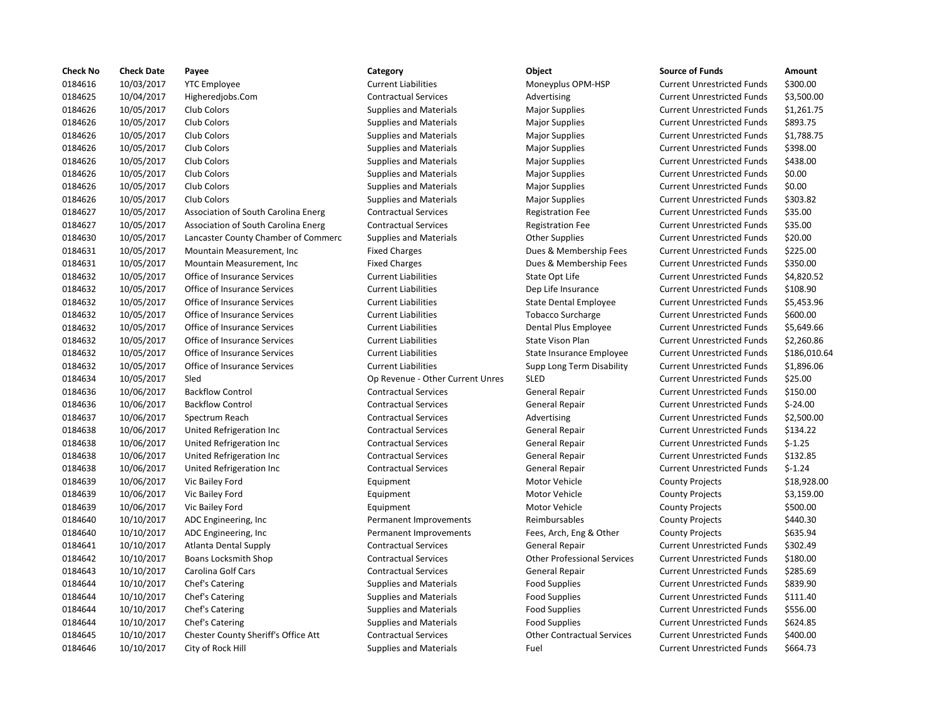| <b>Check No</b> | <b>Check Date</b> | Payee                               | Category                         | Object                             | <b>Source of Funds</b>            | Amount      |
|-----------------|-------------------|-------------------------------------|----------------------------------|------------------------------------|-----------------------------------|-------------|
| 0184616         | 10/03/2017        | <b>YTC Employee</b>                 | <b>Current Liabilities</b>       | Moneyplus OPM-HSP                  | <b>Current Unrestricted Funds</b> | \$300.00    |
| 0184625         | 10/04/2017        | Higheredjobs.Com                    | <b>Contractual Services</b>      | Advertising                        | <b>Current Unrestricted Funds</b> | \$3,500.00  |
| 0184626         | 10/05/2017        | Club Colors                         | <b>Supplies and Materials</b>    | <b>Major Supplies</b>              | <b>Current Unrestricted Funds</b> | \$1,261.75  |
| 0184626         | 10/05/2017        | Club Colors                         | <b>Supplies and Materials</b>    | <b>Major Supplies</b>              | <b>Current Unrestricted Funds</b> | \$893.75    |
| 0184626         | 10/05/2017        | Club Colors                         | <b>Supplies and Materials</b>    | <b>Major Supplies</b>              | <b>Current Unrestricted Funds</b> | \$1,788.75  |
| 0184626         | 10/05/2017        | Club Colors                         | <b>Supplies and Materials</b>    | <b>Major Supplies</b>              | <b>Current Unrestricted Funds</b> | \$398.00    |
| 0184626         | 10/05/2017        | Club Colors                         | <b>Supplies and Materials</b>    | <b>Major Supplies</b>              | <b>Current Unrestricted Funds</b> | \$438.00    |
| 0184626         | 10/05/2017        | Club Colors                         | <b>Supplies and Materials</b>    | <b>Major Supplies</b>              | <b>Current Unrestricted Funds</b> | \$0.00      |
| 0184626         | 10/05/2017        | Club Colors                         | <b>Supplies and Materials</b>    | <b>Major Supplies</b>              | <b>Current Unrestricted Funds</b> | \$0.00      |
| 0184626         | 10/05/2017        | Club Colors                         | <b>Supplies and Materials</b>    | <b>Major Supplies</b>              | <b>Current Unrestricted Funds</b> | \$303.82    |
| 0184627         | 10/05/2017        | Association of South Carolina Energ | <b>Contractual Services</b>      | <b>Registration Fee</b>            | <b>Current Unrestricted Funds</b> | \$35.00     |
| 0184627         | 10/05/2017        | Association of South Carolina Energ | <b>Contractual Services</b>      | <b>Registration Fee</b>            | <b>Current Unrestricted Funds</b> | \$35.00     |
| 0184630         | 10/05/2017        | Lancaster County Chamber of Commerc | <b>Supplies and Materials</b>    | <b>Other Supplies</b>              | <b>Current Unrestricted Funds</b> | \$20.00     |
| 0184631         | 10/05/2017        | Mountain Measurement, Inc.          | <b>Fixed Charges</b>             | Dues & Membership Fees             | <b>Current Unrestricted Funds</b> | \$225.00    |
| 0184631         | 10/05/2017        | Mountain Measurement, Inc.          | <b>Fixed Charges</b>             | Dues & Membership Fees             | <b>Current Unrestricted Funds</b> | \$350.00    |
| 0184632         | 10/05/2017        | Office of Insurance Services        | <b>Current Liabilities</b>       | State Opt Life                     | <b>Current Unrestricted Funds</b> | \$4,820.52  |
| 0184632         | 10/05/2017        | Office of Insurance Services        | <b>Current Liabilities</b>       | Dep Life Insurance                 | <b>Current Unrestricted Funds</b> | \$108.90    |
| 0184632         | 10/05/2017        | Office of Insurance Services        | <b>Current Liabilities</b>       | <b>State Dental Employee</b>       | <b>Current Unrestricted Funds</b> | \$5,453.96  |
| 0184632         | 10/05/2017        | Office of Insurance Services        | <b>Current Liabilities</b>       | <b>Tobacco Surcharge</b>           | <b>Current Unrestricted Funds</b> | \$600.00    |
| 0184632         | 10/05/2017        | Office of Insurance Services        | <b>Current Liabilities</b>       | Dental Plus Employee               | <b>Current Unrestricted Funds</b> | \$5,649.66  |
| 0184632         | 10/05/2017        | Office of Insurance Services        | <b>Current Liabilities</b>       | State Vison Plan                   | <b>Current Unrestricted Funds</b> | \$2,260.86  |
| 0184632         | 10/05/2017        | Office of Insurance Services        | <b>Current Liabilities</b>       | State Insurance Employee           | <b>Current Unrestricted Funds</b> | \$186,010.6 |
| 0184632         | 10/05/2017        | Office of Insurance Services        | <b>Current Liabilities</b>       | Supp Long Term Disability          | <b>Current Unrestricted Funds</b> | \$1,896.06  |
| 0184634         | 10/05/2017        | Sled                                | Op Revenue - Other Current Unres | <b>SLED</b>                        | <b>Current Unrestricted Funds</b> | \$25.00     |
| 0184636         | 10/06/2017        | <b>Backflow Control</b>             | <b>Contractual Services</b>      | <b>General Repair</b>              | <b>Current Unrestricted Funds</b> | \$150.00    |
| 0184636         | 10/06/2017        | <b>Backflow Control</b>             | <b>Contractual Services</b>      | General Repair                     | <b>Current Unrestricted Funds</b> | $$-24.00$   |
| 0184637         | 10/06/2017        | Spectrum Reach                      | <b>Contractual Services</b>      | Advertising                        | <b>Current Unrestricted Funds</b> | \$2,500.00  |
| 0184638         | 10/06/2017        | United Refrigeration Inc            | <b>Contractual Services</b>      | <b>General Repair</b>              | <b>Current Unrestricted Funds</b> | \$134.22    |
| 0184638         | 10/06/2017        | United Refrigeration Inc            | <b>Contractual Services</b>      | <b>General Repair</b>              | <b>Current Unrestricted Funds</b> | $$-1.25$    |
| 0184638         | 10/06/2017        | United Refrigeration Inc            | <b>Contractual Services</b>      | General Repair                     | <b>Current Unrestricted Funds</b> | \$132.85    |
| 0184638         | 10/06/2017        | United Refrigeration Inc            | <b>Contractual Services</b>      | <b>General Repair</b>              | <b>Current Unrestricted Funds</b> | $$-1.24$    |
| 0184639         | 10/06/2017        | Vic Bailey Ford                     | Equipment                        | Motor Vehicle                      | <b>County Projects</b>            | \$18,928.00 |
| 0184639         | 10/06/2017        | Vic Bailey Ford                     | Equipment                        | Motor Vehicle                      | <b>County Projects</b>            | \$3,159.00  |
| 0184639         | 10/06/2017        | Vic Bailey Ford                     | Equipment                        | Motor Vehicle                      | <b>County Projects</b>            | \$500.00    |
| 0184640         | 10/10/2017        | ADC Engineering, Inc.               | Permanent Improvements           | Reimbursables                      | <b>County Projects</b>            | \$440.30    |
| 0184640         | 10/10/2017        | ADC Engineering, Inc                | Permanent Improvements           | Fees, Arch, Eng & Other            | <b>County Projects</b>            | \$635.94    |
| 0184641         | 10/10/2017        | Atlanta Dental Supply               | <b>Contractual Services</b>      | <b>General Repair</b>              | <b>Current Unrestricted Funds</b> | \$302.49    |
| 0184642         | 10/10/2017        | <b>Boans Locksmith Shop</b>         | <b>Contractual Services</b>      | <b>Other Professional Services</b> | <b>Current Unrestricted Funds</b> | \$180.00    |
| 0184643         | 10/10/2017        | Carolina Golf Cars                  | <b>Contractual Services</b>      | <b>General Repair</b>              | <b>Current Unrestricted Funds</b> | \$285.69    |
| 0184644         | 10/10/2017        | Chef's Catering                     | <b>Supplies and Materials</b>    | <b>Food Supplies</b>               | <b>Current Unrestricted Funds</b> | \$839.90    |
| 0184644         | 10/10/2017        | Chef's Catering                     | <b>Supplies and Materials</b>    | <b>Food Supplies</b>               | <b>Current Unrestricted Funds</b> | \$111.40    |
| 0184644         | 10/10/2017        | Chef's Catering                     | <b>Supplies and Materials</b>    | <b>Food Supplies</b>               | <b>Current Unrestricted Funds</b> | \$556.00    |
| 0184644         | 10/10/2017        | Chef's Catering                     | <b>Supplies and Materials</b>    | <b>Food Supplies</b>               | <b>Current Unrestricted Funds</b> | \$624.85    |
| 0184645         | 10/10/2017        | Chester County Sheriff's Office Att | <b>Contractual Services</b>      | <b>Other Contractual Services</b>  | <b>Current Unrestricted Funds</b> | \$400.00    |
| 0184646         | 10/10/2017        | City of Rock Hill                   | <b>Supplies and Materials</b>    | Fuel                               | <b>Current Unrestricted Funds</b> | \$664.73    |
|                 |                   |                                     |                                  |                                    |                                   |             |

# 0184646 10/10/2017 City of Rock Hill Supplies and Materials Fuel Current Unrestricted Funds \$664.73

## Current Liabilities The Moneyplus OPM-HSP Current Unrestricted Funds \$300.00 0184625 10/04/2017 Higheredjobs.Com Contractual Services Advertising Current Unrestricted Funds \$3,500.00 0184626 10/05/2017 Club Colors Supplies and Materials Major Supplies Current Unrestricted Funds \$1,261.75 0184626 10/05/2017 Club Colors Supplies and Materials Major Supplies Current Unrestricted Funds \$893.75 0184626 10/05/2017 Club Colors Supplies and Materials Major Supplies Current Unrestricted Funds \$1,788.75 0184626 10/05/2017 Club Colors Supplies and Materials Major Supplies Current Unrestricted Funds \$398.00 0184626 10/05/2017 Club Colors Supplies and Materials Major Supplies Current Unrestricted Funds \$438.00 0184626 10/05/2017 Club Colors Supplies and Materials Major Supplies Current Unrestricted Funds \$0.00 0184626 10/05/2017 Club Colors Supplies and Materials Major Supplies Current Unrestricted Funds \$0.00 0184626 10/05/2017 Club Colors Supplies and Materials Major Supplies Current Unrestricted Funds \$303.82 Contractual Services **Association Carolina Energy Contractual Services** Registration Fee Current Unrestricted Funds \$35.00 Contractual Services **Registration Fee Current Unrestricted Funds** \$35.00 of the Supplies and Materials Commerc Supplies Current Unrestricted Funds  $\frac{1}{20}$  \$20.00 Fixed Charges The States Current Unrestricted Funds States Dues & Membership Fees Current Unrestricted Funds \$225.00 Fixed Charges **101845 10184631 10184631 102018 Dues & Membership Fees** Current Unrestricted Funds \$350.00 Ourrent Liabilities **Current Liabilities** State Opt Life **Current Unrestricted Funds** \$4,820.52 Current Liabilities **Current Liabilities** Dep Life Insurance Current Unrestricted Funds \$108.90 0184632 10/05/2017 Office of Insurance Services Current Liabilities State Dental Employee Current Unrestricted Funds \$5,453.96 0184632 10/05/2017 Office of Insurance Services Current Liabilities Tobacco Surcharge Current Unrestricted Funds \$600.00 Current Liabilities **Dental Plus Employee** Current Unrestricted Funds \$5,649.66 0184632 10/05/2017 Office of Insurance Services Current Liabilities State Vison Plan Current Unrestricted Funds \$2,260.86 0184632 10/05/2017 Office of Insurance Services Current Liabilities State Insurance Employee Current Unrestricted Funds \$186,010.64 0184632 10/05/2017 Office of Insurance Services Current Liabilities Supp Long Term Disability Current Unrestricted Funds \$1,896.06 Op Revenue - Other Current Unres SLED Current Unrestricted Funds \$25.00 0184636 10/06/2017 Backflow Control Contractual Services General Repair Current Unrestricted Funds \$150.00 0184636 10/06/2017 Backflow Control Contractual Services General Repair Current Unrestricted Funds \$-24.00 0184637 10/06/2017 Spectrum Reach Contractual Services Advertising Current Unrestricted Funds \$2,500.00 Contractual Services **1018 1018 1018 Contractual Services** General Repair Current Unrestricted Funds \$134.22 Contractual Services **1018 Contractual Services** General Repair Current Unrestricted Funds 5-1.25 0184638 10/06/2017 United Refrigeration Inc Contractual Services General Repair Current Unrestricted Funds \$132.85 Contractual Services General Repair Current Unrestricted Funds \$-1.24 Permanent Improvements Reimbursables County Projects \$440.30 Permanent Improvements Fees, Arch, Eng & Other County Projects \$635.94 0184641 10/10/2017 Atlanta Dental Supply Contractual Services General Repair Current Unrestricted Funds \$302.49 0184642 10/10/2017 Boans Locksmith Shop Contractual Services Other Professional Services Current Unrestricted Funds \$180.00 Contractual Services **10184 1018 10184 10184 10184 10184 10184 10184 10184 10184 10184 10184 10184 10184 10184 10184 10184 10184 10184 10184 10184 10184 10184 10184 10184 10184 10184 10184 10184 10184 10184 10184 10184 101** Supplies and Materials **Food Supplies** Food Supplies Current Unrestricted Funds \$839.90 Supplies and Materials **Food Supplies** Food Supplies Current Unrestricted Funds \$111.40 0184644 10/10/2017 Chef's Catering Supplies and Materials Food Supplies Current Unrestricted Funds \$556.00 0184644 10/10/2017 Chef's Catering Supplies and Materials Food Supplies Current Unrestricted Funds \$624.85 0184645 10/10/2017 Chester County Sheriff's Office Att Contractual Services Other Contractual Services Current Unrestricted Funds \$400.00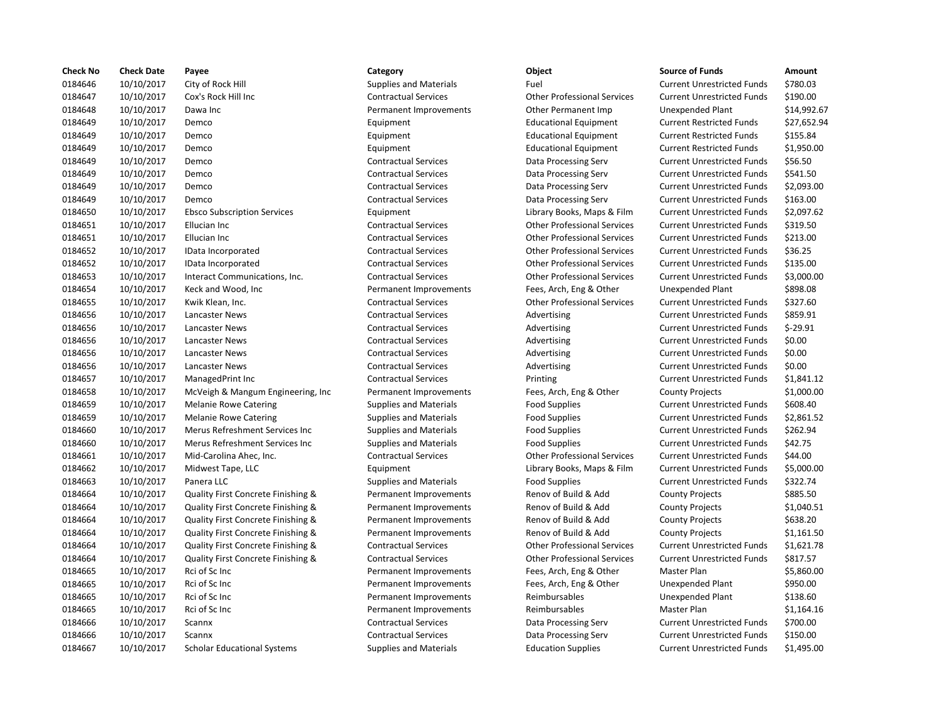| <b>Check No</b> | <b>Check Date</b> | Payee                              | Category                      | Object                             | <b>Source of Funds</b>            | Amount    |
|-----------------|-------------------|------------------------------------|-------------------------------|------------------------------------|-----------------------------------|-----------|
| 0184646         | 10/10/2017        | City of Rock Hill                  | <b>Supplies and Materials</b> | Fuel                               | <b>Current Unrestricted Funds</b> | \$780.03  |
| 0184647         | 10/10/2017        | Cox's Rock Hill Inc                | <b>Contractual Services</b>   | <b>Other Professional Services</b> | <b>Current Unrestricted Funds</b> | \$190.00  |
| 0184648         | 10/10/2017        | Dawa Inc                           | Permanent Improvements        | Other Permanent Imp                | <b>Unexpended Plant</b>           | \$14,992  |
| 0184649         | 10/10/2017        | Demco                              | Equipment                     | <b>Educational Equipment</b>       | <b>Current Restricted Funds</b>   | \$27,652  |
| 0184649         | 10/10/2017        | Demco                              | Equipment                     | <b>Educational Equipment</b>       | <b>Current Restricted Funds</b>   | \$155.84  |
| 0184649         | 10/10/2017        | Demco                              | Equipment                     | <b>Educational Equipment</b>       | <b>Current Restricted Funds</b>   | \$1,950.0 |
| 0184649         | 10/10/2017        | Demco                              | <b>Contractual Services</b>   | Data Processing Serv               | <b>Current Unrestricted Funds</b> | \$56.50   |
| 0184649         | 10/10/2017        | Demco                              | <b>Contractual Services</b>   | Data Processing Serv               | <b>Current Unrestricted Funds</b> | \$541.50  |
| 0184649         | 10/10/2017        | Demco                              | <b>Contractual Services</b>   | Data Processing Serv               | <b>Current Unrestricted Funds</b> | \$2,093.0 |
| 0184649         | 10/10/2017        | Demco                              | <b>Contractual Services</b>   | Data Processing Serv               | <b>Current Unrestricted Funds</b> | \$163.00  |
| 0184650         | 10/10/2017        | <b>Ebsco Subscription Services</b> | Equipment                     | Library Books, Maps & Film         | <b>Current Unrestricted Funds</b> | \$2,097.6 |
| 0184651         | 10/10/2017        | Ellucian Inc                       | <b>Contractual Services</b>   | <b>Other Professional Services</b> | <b>Current Unrestricted Funds</b> | \$319.50  |
| 0184651         | 10/10/2017        | Ellucian Inc                       | <b>Contractual Services</b>   | <b>Other Professional Services</b> | <b>Current Unrestricted Funds</b> | \$213.00  |
| 0184652         | 10/10/2017        | IData Incorporated                 | <b>Contractual Services</b>   | <b>Other Professional Services</b> | <b>Current Unrestricted Funds</b> | \$36.25   |
| 0184652         | 10/10/2017        | IData Incorporated                 | <b>Contractual Services</b>   | <b>Other Professional Services</b> | <b>Current Unrestricted Funds</b> | \$135.00  |
| 0184653         | 10/10/2017        | Interact Communications, Inc.      | <b>Contractual Services</b>   | <b>Other Professional Services</b> | <b>Current Unrestricted Funds</b> | \$3,000.0 |
| 0184654         | 10/10/2017        | Keck and Wood, Inc                 | Permanent Improvements        | Fees, Arch, Eng & Other            | <b>Unexpended Plant</b>           | \$898.08  |
| 0184655         | 10/10/2017        | Kwik Klean, Inc.                   | <b>Contractual Services</b>   | <b>Other Professional Services</b> | <b>Current Unrestricted Funds</b> | \$327.60  |
| 0184656         | 10/10/2017        | Lancaster News                     | <b>Contractual Services</b>   | Advertising                        | <b>Current Unrestricted Funds</b> | \$859.91  |
| 0184656         | 10/10/2017        | Lancaster News                     | <b>Contractual Services</b>   | Advertising                        | <b>Current Unrestricted Funds</b> | $$-29.91$ |
| 0184656         | 10/10/2017        | Lancaster News                     | <b>Contractual Services</b>   | Advertising                        | <b>Current Unrestricted Funds</b> | \$0.00    |
| 0184656         | 10/10/2017        | Lancaster News                     | <b>Contractual Services</b>   | Advertising                        | <b>Current Unrestricted Funds</b> | \$0.00    |
| 0184656         | 10/10/2017        | Lancaster News                     | <b>Contractual Services</b>   | Advertising                        | <b>Current Unrestricted Funds</b> | \$0.00    |
| 0184657         | 10/10/2017        | ManagedPrint Inc                   | <b>Contractual Services</b>   | Printing                           | <b>Current Unrestricted Funds</b> | \$1,841.1 |
| 0184658         | 10/10/2017        | McVeigh & Mangum Engineering, Inc  | Permanent Improvements        | Fees, Arch, Eng & Other            | <b>County Projects</b>            | \$1,000.0 |
| 0184659         | 10/10/2017        | <b>Melanie Rowe Catering</b>       | <b>Supplies and Materials</b> | <b>Food Supplies</b>               | <b>Current Unrestricted Funds</b> | \$608.40  |
| 0184659         | 10/10/2017        | <b>Melanie Rowe Catering</b>       | <b>Supplies and Materials</b> | <b>Food Supplies</b>               | <b>Current Unrestricted Funds</b> | \$2,861.5 |
| 0184660         | 10/10/2017        | Merus Refreshment Services Inc     | <b>Supplies and Materials</b> | <b>Food Supplies</b>               | <b>Current Unrestricted Funds</b> | \$262.94  |
| 0184660         | 10/10/2017        | Merus Refreshment Services Inc     | <b>Supplies and Materials</b> | <b>Food Supplies</b>               | <b>Current Unrestricted Funds</b> | \$42.75   |
| 0184661         | 10/10/2017        | Mid-Carolina Ahec, Inc.            | <b>Contractual Services</b>   | <b>Other Professional Services</b> | <b>Current Unrestricted Funds</b> | \$44.00   |
| 0184662         | 10/10/2017        | Midwest Tape, LLC                  | Equipment                     | Library Books, Maps & Film         | <b>Current Unrestricted Funds</b> | \$5,000.0 |
| 0184663         | 10/10/2017        | Panera LLC                         | <b>Supplies and Materials</b> | <b>Food Supplies</b>               | <b>Current Unrestricted Funds</b> | \$322.74  |
| 0184664         | 10/10/2017        | Quality First Concrete Finishing & | Permanent Improvements        | Renov of Build & Add               | <b>County Projects</b>            | \$885.50  |
| 0184664         | 10/10/2017        | Quality First Concrete Finishing & | Permanent Improvements        | Renov of Build & Add               | <b>County Projects</b>            | \$1,040.5 |
| 0184664         | 10/10/2017        | Quality First Concrete Finishing & | Permanent Improvements        | Renov of Build & Add               | <b>County Projects</b>            | \$638.20  |
| 0184664         | 10/10/2017        | Quality First Concrete Finishing & | Permanent Improvements        | Renov of Build & Add               | <b>County Projects</b>            | \$1,161.5 |
| 0184664         | 10/10/2017        | Quality First Concrete Finishing & | <b>Contractual Services</b>   | <b>Other Professional Services</b> | <b>Current Unrestricted Funds</b> | \$1,621.7 |
| 0184664         | 10/10/2017        | Quality First Concrete Finishing & | <b>Contractual Services</b>   | <b>Other Professional Services</b> | <b>Current Unrestricted Funds</b> | \$817.57  |
| 0184665         | 10/10/2017        | Rci of Sc Inc                      | Permanent Improvements        | Fees, Arch, Eng & Other            | Master Plan                       | \$5,860.0 |
| 0184665         | 10/10/2017        | Rci of Sc Inc                      | Permanent Improvements        | Fees, Arch, Eng & Other            | Unexpended Plant                  | \$950.00  |
| 0184665         | 10/10/2017        | Rci of Sc Inc                      | Permanent Improvements        | Reimbursables                      | Unexpended Plant                  | \$138.60  |
| 0184665         | 10/10/2017        | Rci of Sc Inc                      | Permanent Improvements        | Reimbursables                      | Master Plan                       | \$1,164.1 |
| 0184666         | 10/10/2017        | Scannx                             | <b>Contractual Services</b>   | Data Processing Serv               | <b>Current Unrestricted Funds</b> | \$700.00  |
| 0184666         | 10/10/2017        | Scannx                             | <b>Contractual Services</b>   | Data Processing Serv               | <b>Current Unrestricted Funds</b> | \$150.00  |
| 0184667         | 10/10/2017        | <b>Scholar Educational Systems</b> | <b>Supplies and Materials</b> | <b>Education Supplies</b>          | <b>Current Unrestricted Funds</b> | \$1,495.0 |
|                 |                   |                                    |                               |                                    |                                   |           |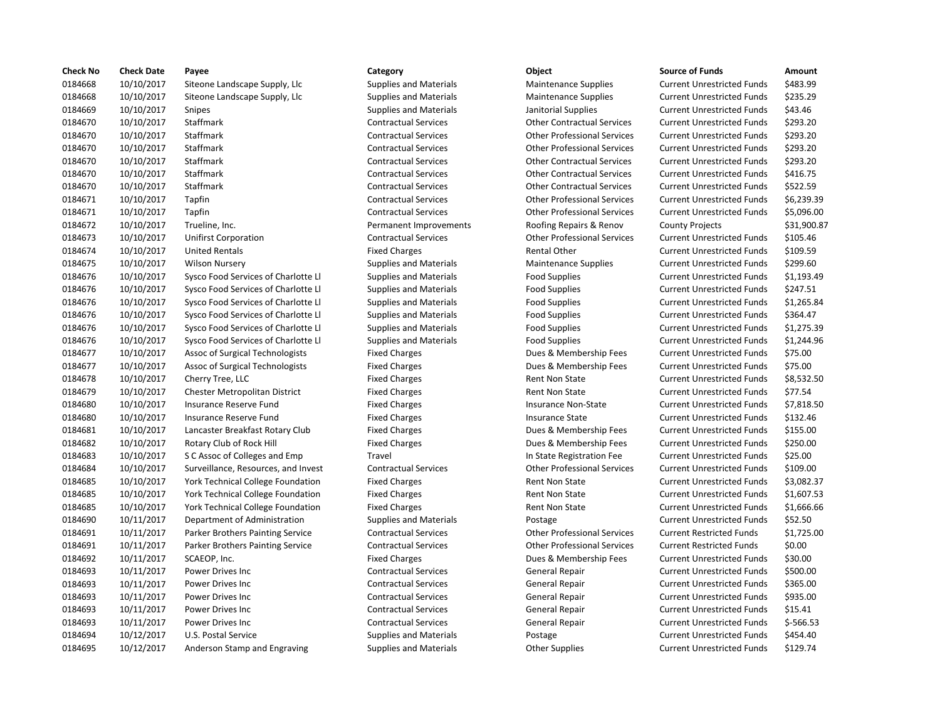| <b>Check No</b> | <b>Check Date</b> | Payee                                    | Category                      | Object                             | <b>Source of Funds</b>            | Amount     |
|-----------------|-------------------|------------------------------------------|-------------------------------|------------------------------------|-----------------------------------|------------|
| 0184668         | 10/10/2017        | Siteone Landscape Supply, Llc            | <b>Supplies and Materials</b> | <b>Maintenance Supplies</b>        | <b>Current Unrestricted Funds</b> | \$483.99   |
| 0184668         | 10/10/2017        | Siteone Landscape Supply, Llc            | <b>Supplies and Materials</b> | <b>Maintenance Supplies</b>        | <b>Current Unrestricted Funds</b> | \$235.29   |
| 0184669         | 10/10/2017        | <b>Snipes</b>                            | <b>Supplies and Materials</b> | Janitorial Supplies                | <b>Current Unrestricted Funds</b> | \$43.46    |
| 0184670         | 10/10/2017        | Staffmark                                | <b>Contractual Services</b>   | <b>Other Contractual Services</b>  | <b>Current Unrestricted Funds</b> | \$293.20   |
| 0184670         | 10/10/2017        | <b>Staffmark</b>                         | <b>Contractual Services</b>   | <b>Other Professional Services</b> | <b>Current Unrestricted Funds</b> | \$293.20   |
| 0184670         | 10/10/2017        | Staffmark                                | <b>Contractual Services</b>   | <b>Other Professional Services</b> | <b>Current Unrestricted Funds</b> | \$293.20   |
| 0184670         | 10/10/2017        | Staffmark                                | <b>Contractual Services</b>   | <b>Other Contractual Services</b>  | <b>Current Unrestricted Funds</b> | \$293.20   |
| 0184670         | 10/10/2017        | Staffmark                                | <b>Contractual Services</b>   | <b>Other Contractual Services</b>  | <b>Current Unrestricted Funds</b> | \$416.75   |
| 0184670         | 10/10/2017        | <b>Staffmark</b>                         | <b>Contractual Services</b>   | <b>Other Contractual Services</b>  | <b>Current Unrestricted Funds</b> | \$522.59   |
| 0184671         | 10/10/2017        | Tapfin                                   | <b>Contractual Services</b>   | <b>Other Professional Services</b> | <b>Current Unrestricted Funds</b> | \$6,239.3  |
| 0184671         | 10/10/2017        | Tapfin                                   | <b>Contractual Services</b>   | <b>Other Professional Services</b> | <b>Current Unrestricted Funds</b> | \$5,096.0  |
| 0184672         | 10/10/2017        | Trueline, Inc.                           | Permanent Improvements        | Roofing Repairs & Renov            | <b>County Projects</b>            | \$31,900   |
| 0184673         | 10/10/2017        | <b>Unifirst Corporation</b>              | <b>Contractual Services</b>   | <b>Other Professional Services</b> | <b>Current Unrestricted Funds</b> | \$105.46   |
| 0184674         | 10/10/2017        | <b>United Rentals</b>                    | <b>Fixed Charges</b>          | Rental Other                       | <b>Current Unrestricted Funds</b> | \$109.59   |
| 0184675         | 10/10/2017        | <b>Wilson Nursery</b>                    | <b>Supplies and Materials</b> | <b>Maintenance Supplies</b>        | <b>Current Unrestricted Funds</b> | \$299.60   |
| 0184676         | 10/10/2017        | Sysco Food Services of Charlotte Ll      | <b>Supplies and Materials</b> | <b>Food Supplies</b>               | <b>Current Unrestricted Funds</b> | \$1,193.4  |
| 0184676         | 10/10/2017        | Sysco Food Services of Charlotte Ll      | <b>Supplies and Materials</b> | <b>Food Supplies</b>               | <b>Current Unrestricted Funds</b> | \$247.51   |
| 0184676         | 10/10/2017        | Sysco Food Services of Charlotte Ll      | <b>Supplies and Materials</b> | <b>Food Supplies</b>               | <b>Current Unrestricted Funds</b> | \$1,265.8  |
| 0184676         | 10/10/2017        | Sysco Food Services of Charlotte Ll      | <b>Supplies and Materials</b> | <b>Food Supplies</b>               | <b>Current Unrestricted Funds</b> | \$364.47   |
| 0184676         | 10/10/2017        | Sysco Food Services of Charlotte Ll      | <b>Supplies and Materials</b> | <b>Food Supplies</b>               | <b>Current Unrestricted Funds</b> | \$1,275.3  |
| 0184676         | 10/10/2017        | Sysco Food Services of Charlotte Ll      | <b>Supplies and Materials</b> | <b>Food Supplies</b>               | <b>Current Unrestricted Funds</b> | \$1,244.9  |
| 0184677         | 10/10/2017        | Assoc of Surgical Technologists          | <b>Fixed Charges</b>          | Dues & Membership Fees             | <b>Current Unrestricted Funds</b> | \$75.00    |
| 0184677         | 10/10/2017        | Assoc of Surgical Technologists          | <b>Fixed Charges</b>          | Dues & Membership Fees             | <b>Current Unrestricted Funds</b> | \$75.00    |
| 0184678         | 10/10/2017        | Cherry Tree, LLC                         | <b>Fixed Charges</b>          | <b>Rent Non State</b>              | <b>Current Unrestricted Funds</b> | \$8,532.5  |
| 0184679         | 10/10/2017        | <b>Chester Metropolitan District</b>     | <b>Fixed Charges</b>          | <b>Rent Non State</b>              | <b>Current Unrestricted Funds</b> | \$77.54    |
| 0184680         | 10/10/2017        | Insurance Reserve Fund                   | <b>Fixed Charges</b>          | Insurance Non-State                | <b>Current Unrestricted Funds</b> | \$7,818.5  |
| 0184680         | 10/10/2017        | Insurance Reserve Fund                   | <b>Fixed Charges</b>          | <b>Insurance State</b>             | <b>Current Unrestricted Funds</b> | \$132.46   |
| 0184681         | 10/10/2017        | Lancaster Breakfast Rotary Club          | <b>Fixed Charges</b>          | Dues & Membership Fees             | <b>Current Unrestricted Funds</b> | \$155.00   |
| 0184682         | 10/10/2017        | Rotary Club of Rock Hill                 | <b>Fixed Charges</b>          | Dues & Membership Fees             | <b>Current Unrestricted Funds</b> | \$250.00   |
| 0184683         | 10/10/2017        | S C Assoc of Colleges and Emp            | Travel                        | In State Registration Fee          | <b>Current Unrestricted Funds</b> | \$25.00    |
| 0184684         | 10/10/2017        | Surveillance, Resources, and Invest      | <b>Contractual Services</b>   | <b>Other Professional Services</b> | <b>Current Unrestricted Funds</b> | \$109.00   |
| 0184685         | 10/10/2017        | <b>York Technical College Foundation</b> | <b>Fixed Charges</b>          | Rent Non State                     | <b>Current Unrestricted Funds</b> | \$3,082.3  |
| 0184685         | 10/10/2017        | York Technical College Foundation        | <b>Fixed Charges</b>          | Rent Non State                     | <b>Current Unrestricted Funds</b> | \$1,607.5  |
| 0184685         | 10/10/2017        | <b>York Technical College Foundation</b> | <b>Fixed Charges</b>          | <b>Rent Non State</b>              | <b>Current Unrestricted Funds</b> | \$1,666.6  |
| 0184690         | 10/11/2017        | Department of Administration             | <b>Supplies and Materials</b> | Postage                            | <b>Current Unrestricted Funds</b> | \$52.50    |
| 0184691         | 10/11/2017        | Parker Brothers Painting Service         | <b>Contractual Services</b>   | <b>Other Professional Services</b> | <b>Current Restricted Funds</b>   | \$1,725.0  |
| 0184691         | 10/11/2017        | Parker Brothers Painting Service         | <b>Contractual Services</b>   | <b>Other Professional Services</b> | <b>Current Restricted Funds</b>   | \$0.00     |
| 0184692         | 10/11/2017        | SCAEOP, Inc.                             | <b>Fixed Charges</b>          | Dues & Membership Fees             | <b>Current Unrestricted Funds</b> | \$30.00    |
| 0184693         | 10/11/2017        | Power Drives Inc                         | <b>Contractual Services</b>   | <b>General Repair</b>              | <b>Current Unrestricted Funds</b> | \$500.00   |
| 0184693         | 10/11/2017        | Power Drives Inc                         | <b>Contractual Services</b>   | General Repair                     | <b>Current Unrestricted Funds</b> | \$365.00   |
| 0184693         | 10/11/2017        | Power Drives Inc                         | <b>Contractual Services</b>   | <b>General Repair</b>              | <b>Current Unrestricted Funds</b> | \$935.00   |
| 0184693         | 10/11/2017        | Power Drives Inc                         | <b>Contractual Services</b>   | <b>General Repair</b>              | <b>Current Unrestricted Funds</b> | \$15.41    |
| 0184693         | 10/11/2017        | <b>Power Drives Inc</b>                  | <b>Contractual Services</b>   | <b>General Repair</b>              | <b>Current Unrestricted Funds</b> | $$-566.53$ |
| 0184694         | 10/12/2017        | U.S. Postal Service                      | <b>Supplies and Materials</b> | Postage                            | <b>Current Unrestricted Funds</b> | \$454.40   |
| 0184695         | 10/12/2017        | Anderson Stamp and Engraving             | <b>Supplies and Materials</b> | <b>Other Supplies</b>              | <b>Current Unrestricted Funds</b> | \$129.74   |

## Supplies and Materials **Supplies Supplies Current Unrestricted Funds** \$483.99 Supplies and Materials **Supplies Accords** Maintenance Supplies **Current Unrestricted Funds** \$235.29 0184669 10/10/2017 Snipes Supplies and Materials Janitorial Supplies Current Unrestricted Funds \$43.46 0184670 10/10/2017 Staffmark Contractual Services Other Contractual Services Current Unrestricted Funds \$293.20 0184670 10/10/2017 Staffmark Contractual Services Other Professional Services Current Unrestricted Funds \$293.20 0184670 10/10/2017 Staffmark Contractual Services Other Professional Services Current Unrestricted Funds \$293.20 0184670 10/10/2017 Staffmark Contractual Services Other Contractual Services Current Unrestricted Funds \$293.20 0184670 10/10/2017 Staffmark Contractual Services Other Contractual Services Current Unrestricted Funds \$416.75 0184670 10/10/2017 Staffmark Contractual Services Other Contractual Services Current Unrestricted Funds \$522.59 Contractual Services **Other Professional Services** Current Unrestricted Funds \$6,239.39 0184671 10/10/2017 Tapfin Contractual Services Other Professional Services Current Unrestricted Funds \$5,096.00 Permanent Improvements **Roofing Repairs & Renov** County Projects \$31,900.87 Contractual Services **1021 2018** Other Professional Services Current Unrestricted Funds \$105.46 Fixed Charges The Rental Other Current Unrestricted Funds 5109.59 0184675 10/10/2017 Wilson Nursery Supplies and Materials Maintenance Supplies Current Unrestricted Funds \$299.60 0184676 10/10/2017 Sysco Food Services of Charlotte Ll Supplies and Materials Food Supplies Current Unrestricted Funds \$1,193.49 Supplies and Materials **Supplies of Charlotte Lines of Current Unrestricted Funds** 5247.51 0184676 10/10/2017 Sysco Food Services of Charlotte Ll Supplies and Materials Food Supplies Current Unrestricted Funds \$1,265.84 Supplies and Materials **Supplies of Charlotte Conditional Supplies** Current Unrestricted Funds \$364.47 Supplies and Materials **Supplies of Charlotte Charlotte Contracts** Current Unrestricted Funds \$1,275.39 0184676 10/10/2017 Sysco Food Services of Charlotte Ll Supplies and Materials Food Supplies Current Unrestricted Funds \$1,244.96 0184677 10/10/2017 Assoc of Surgical Technologists Fixed Charges Dues & Membership Fees Current Unrestricted Funds \$75.00 Fixed Charges **1018467 1018467** Dues & Membership Fees Current Unrestricted Funds \$75.00 Fixed Charges Transmission Current Unrestricted Funds \$8,532.50 0184679 10/10/2017 Chester Metropolitan District Fixed Charges Rent Non State Current Unrestricted Funds \$77.54 Fixed Charges The Insurance Non-State Current Unrestricted Funds \$7,818.50 Fixed Charges The State Theorem Insurance State Current Unrestricted Funds \$132.46 Fixed Charges **101846 101846 101846 10184 101846 101846 101846 101846 101846 101846 101846 101846 101846 10184** Fixed Charges The Club of Rotate Bill Blues & Membership Fees Current Unrestricted Funds \$250.00 Travel **101846 101846 101846 101846 101846 101846 101846 101846 101846 101846 101846 101846 101846 101846 10184** Contractual Services **109.00** Other Professional Services Current Unrestricted Funds \$109.00 Fixed Charges Technical College Foundation Fixed Current Unrestricted Funds \$3,082.37 Fixed Charges Technical College Rent Non State Current Unrestricted Funds \$1,607.53 Fixed Charges Technical College Foundation Fixed Current Unrestricted Funds \$1,666.66 0184690 10/11/2017 Department of Administration Supplies and Materials Postage Current Unrestricted Funds \$52.50 0184691 10/11/2017 Parker Brothers Painting Service Contractual Services Other Professional Services Current Restricted Funds \$1,725.00 0184691 10/11/2017 Parker Brothers Painting Service Contractual Services Other Professional Services Current Restricted Funds \$0.00 Fixed Charges The Charges Current Unrestricted Funds \$30.00 Contractual Services **1018 1018 1018 Contractual Services** General Repair Current Unrestricted Funds \$500.00 Contractual Services **1018 1018 1018 Contractual Services** General Repair Current Unrestricted Funds \$365.00 Contractual Services **1018 1018 Contractual Services** General Repair Current Unrestricted Funds \$935.00 Contractual Services **101846 101846 Contractual Services** General Repair Current Unrestricted Funds \$15.41 Contractual Services **1018 1018 Contractual Services** General Repair Current Unrestricted Funds \$-566.53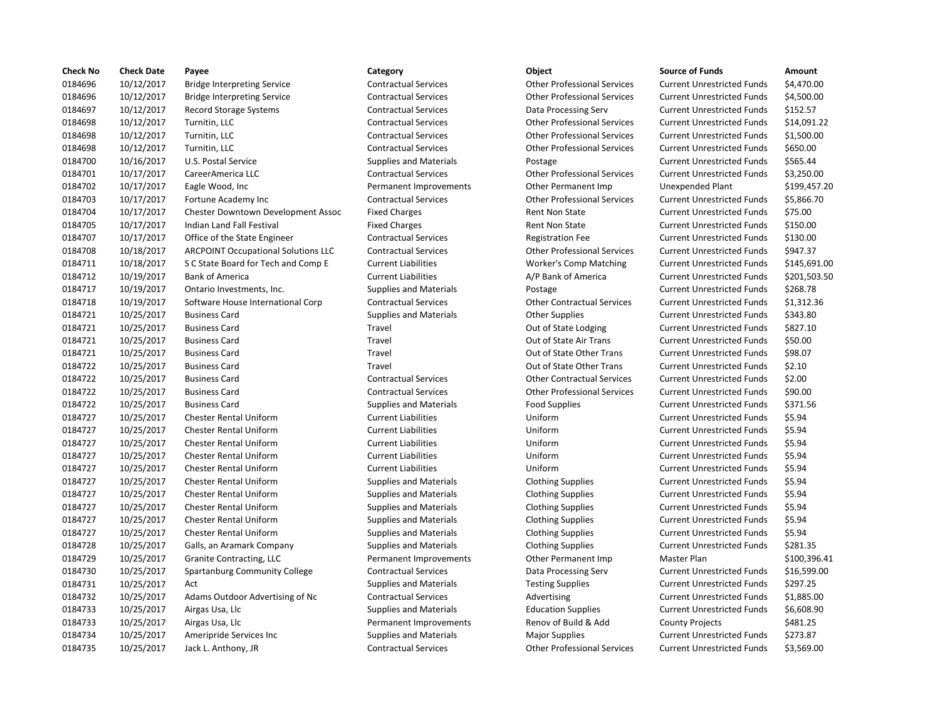| <b>Check No</b> | <b>Check Date</b> | Payee                                      | Category                      | Object                             | <b>Source of Funds</b>            | Amount    |
|-----------------|-------------------|--------------------------------------------|-------------------------------|------------------------------------|-----------------------------------|-----------|
| 0184696         | 10/12/2017        | <b>Bridge Interpreting Service</b>         | <b>Contractual Services</b>   | <b>Other Professional Services</b> | <b>Current Unrestricted Funds</b> | \$4,470.0 |
| 0184696         | 10/12/2017        | <b>Bridge Interpreting Service</b>         | <b>Contractual Services</b>   | <b>Other Professional Services</b> | <b>Current Unrestricted Funds</b> | \$4,500.0 |
| 0184697         | 10/12/2017        | <b>Record Storage Systems</b>              | <b>Contractual Services</b>   | Data Processing Serv               | <b>Current Unrestricted Funds</b> | \$152.57  |
| 0184698         | 10/12/2017        | Turnitin, LLC                              | <b>Contractual Services</b>   | <b>Other Professional Services</b> | <b>Current Unrestricted Funds</b> | \$14,091  |
| 0184698         | 10/12/2017        | Turnitin, LLC                              | <b>Contractual Services</b>   | <b>Other Professional Services</b> | <b>Current Unrestricted Funds</b> | \$1,500.0 |
| 0184698         | 10/12/2017        | Turnitin, LLC                              | <b>Contractual Services</b>   | <b>Other Professional Services</b> | <b>Current Unrestricted Funds</b> | \$650.00  |
| 0184700         | 10/16/2017        | U.S. Postal Service                        | <b>Supplies and Materials</b> | Postage                            | <b>Current Unrestricted Funds</b> | \$565.44  |
| 0184701         | 10/17/2017        | CareerAmerica LLC                          | <b>Contractual Services</b>   | <b>Other Professional Services</b> | <b>Current Unrestricted Funds</b> | \$3,250.0 |
| 0184702         | 10/17/2017        | Eagle Wood, Inc                            | Permanent Improvements        | Other Permanent Imp                | <b>Unexpended Plant</b>           | \$199,45  |
| 0184703         | 10/17/2017        | Fortune Academy Inc                        | <b>Contractual Services</b>   | <b>Other Professional Services</b> | <b>Current Unrestricted Funds</b> | \$5,866.7 |
| 0184704         | 10/17/2017        | Chester Downtown Development Assoc         | <b>Fixed Charges</b>          | <b>Rent Non State</b>              | <b>Current Unrestricted Funds</b> | \$75.00   |
| 0184705         | 10/17/2017        | Indian Land Fall Festival                  | <b>Fixed Charges</b>          | <b>Rent Non State</b>              | <b>Current Unrestricted Funds</b> | \$150.00  |
| 0184707         | 10/17/2017        | Office of the State Engineer               | <b>Contractual Services</b>   | <b>Registration Fee</b>            | <b>Current Unrestricted Funds</b> | \$130.00  |
| 0184708         | 10/18/2017        | <b>ARCPOINT Occupational Solutions LLC</b> | <b>Contractual Services</b>   | <b>Other Professional Services</b> | <b>Current Unrestricted Funds</b> | \$947.37  |
| 0184711         | 10/18/2017        | S C State Board for Tech and Comp E        | <b>Current Liabilities</b>    | <b>Worker's Comp Matching</b>      | <b>Current Unrestricted Funds</b> | \$145,69  |
| 0184712         | 10/19/2017        | <b>Bank of America</b>                     | <b>Current Liabilities</b>    | A/P Bank of America                | <b>Current Unrestricted Funds</b> | \$201,50  |
| 0184717         | 10/19/2017        | Ontario Investments, Inc.                  | <b>Supplies and Materials</b> | Postage                            | <b>Current Unrestricted Funds</b> | \$268.78  |
| 0184718         | 10/19/2017        | Software House International Corp          | <b>Contractual Services</b>   | <b>Other Contractual Services</b>  | <b>Current Unrestricted Funds</b> | \$1,312.3 |
| 0184721         | 10/25/2017        | <b>Business Card</b>                       | <b>Supplies and Materials</b> | <b>Other Supplies</b>              | <b>Current Unrestricted Funds</b> | \$343.80  |
| 0184721         | 10/25/2017        | <b>Business Card</b>                       | Travel                        | Out of State Lodging               | <b>Current Unrestricted Funds</b> | \$827.10  |
| 0184721         | 10/25/2017        | <b>Business Card</b>                       | Travel                        | Out of State Air Trans             | <b>Current Unrestricted Funds</b> | \$50.00   |
| 0184721         | 10/25/2017        | <b>Business Card</b>                       | Travel                        | Out of State Other Trans           | <b>Current Unrestricted Funds</b> | \$98.07   |
| 0184722         | 10/25/2017        | <b>Business Card</b>                       | Travel                        | Out of State Other Trans           | <b>Current Unrestricted Funds</b> | \$2.10    |
| 0184722         | 10/25/2017        | <b>Business Card</b>                       | <b>Contractual Services</b>   | <b>Other Contractual Services</b>  | <b>Current Unrestricted Funds</b> | \$2.00    |
| 0184722         | 10/25/2017        | <b>Business Card</b>                       | <b>Contractual Services</b>   | <b>Other Professional Services</b> | <b>Current Unrestricted Funds</b> | \$90.00   |
| 0184722         | 10/25/2017        | <b>Business Card</b>                       | <b>Supplies and Materials</b> | <b>Food Supplies</b>               | <b>Current Unrestricted Funds</b> | \$371.56  |
| 0184727         | 10/25/2017        | <b>Chester Rental Uniform</b>              | <b>Current Liabilities</b>    | Uniform                            | <b>Current Unrestricted Funds</b> | \$5.94    |
| 0184727         | 10/25/2017        | <b>Chester Rental Uniform</b>              | <b>Current Liabilities</b>    | Uniform                            | <b>Current Unrestricted Funds</b> | \$5.94    |
| 0184727         | 10/25/2017        | <b>Chester Rental Uniform</b>              | <b>Current Liabilities</b>    | Uniform                            | <b>Current Unrestricted Funds</b> | \$5.94    |
| 0184727         | 10/25/2017        | <b>Chester Rental Uniform</b>              | <b>Current Liabilities</b>    | Uniform                            | <b>Current Unrestricted Funds</b> | \$5.94    |
| 0184727         | 10/25/2017        | <b>Chester Rental Uniform</b>              | <b>Current Liabilities</b>    | Uniform                            | <b>Current Unrestricted Funds</b> | \$5.94    |
| 0184727         | 10/25/2017        | <b>Chester Rental Uniform</b>              | <b>Supplies and Materials</b> | <b>Clothing Supplies</b>           | <b>Current Unrestricted Funds</b> | \$5.94    |
| 0184727         | 10/25/2017        | Chester Rental Uniform                     | <b>Supplies and Materials</b> | <b>Clothing Supplies</b>           | <b>Current Unrestricted Funds</b> | \$5.94    |
| 0184727         | 10/25/2017        | <b>Chester Rental Uniform</b>              | <b>Supplies and Materials</b> | <b>Clothing Supplies</b>           | <b>Current Unrestricted Funds</b> | \$5.94    |
| 0184727         | 10/25/2017        | <b>Chester Rental Uniform</b>              | <b>Supplies and Materials</b> | <b>Clothing Supplies</b>           | <b>Current Unrestricted Funds</b> | \$5.94    |
| 0184727         | 10/25/2017        | <b>Chester Rental Uniform</b>              | <b>Supplies and Materials</b> | <b>Clothing Supplies</b>           | <b>Current Unrestricted Funds</b> | \$5.94    |
| 0184728         | 10/25/2017        | Galls, an Aramark Company                  | <b>Supplies and Materials</b> | <b>Clothing Supplies</b>           | <b>Current Unrestricted Funds</b> | \$281.35  |
| 0184729         | 10/25/2017        | Granite Contracting, LLC                   | Permanent Improvements        | Other Permanent Imp                | Master Plan                       | \$100,39  |
| 0184730         | 10/25/2017        | Spartanburg Community College              | <b>Contractual Services</b>   | Data Processing Serv               | <b>Current Unrestricted Funds</b> | \$16,599  |
| 0184731         | 10/25/2017        | Act                                        | <b>Supplies and Materials</b> | <b>Testing Supplies</b>            | <b>Current Unrestricted Funds</b> | \$297.25  |
| 0184732         | 10/25/2017        | Adams Outdoor Advertising of Nc            | <b>Contractual Services</b>   | Advertising                        | <b>Current Unrestricted Funds</b> | \$1,885.0 |
| 0184733         | 10/25/2017        | Airgas Usa, Llc                            | <b>Supplies and Materials</b> | <b>Education Supplies</b>          | <b>Current Unrestricted Funds</b> | \$6,608.9 |
| 0184733         | 10/25/2017        | Airgas Usa, Llc                            | Permanent Improvements        | Renov of Build & Add               | <b>County Projects</b>            | \$481.25  |
| 0184734         | 10/25/2017        | Ameripride Services Inc                    | <b>Supplies and Materials</b> | <b>Major Supplies</b>              | <b>Current Unrestricted Funds</b> | \$273.87  |
| 0184735         | 10/25/2017        | Jack L. Anthony, JR                        | <b>Contractual Services</b>   | <b>Other Professional Services</b> | <b>Current Unrestricted Funds</b> | \$3,569.0 |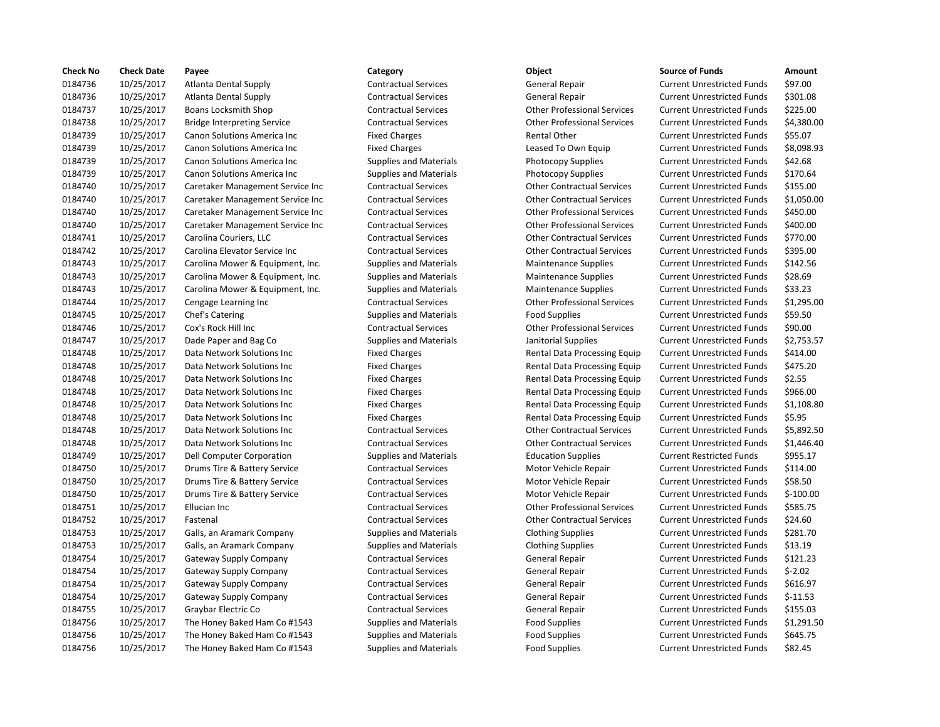| <b>Check No</b> | <b>Check Date</b> | Payee                               | Category                      | Object                             | <b>Source of Funds</b>            | Amount     |
|-----------------|-------------------|-------------------------------------|-------------------------------|------------------------------------|-----------------------------------|------------|
| 0184736         | 10/25/2017        | Atlanta Dental Supply               | <b>Contractual Services</b>   | General Repair                     | <b>Current Unrestricted Funds</b> | \$97.00    |
| 0184736         | 10/25/2017        | <b>Atlanta Dental Supply</b>        | <b>Contractual Services</b>   | <b>General Repair</b>              | <b>Current Unrestricted Funds</b> | \$301.08   |
| 0184737         | 10/25/2017        | <b>Boans Locksmith Shop</b>         | <b>Contractual Services</b>   | <b>Other Professional Services</b> | <b>Current Unrestricted Funds</b> | \$225.00   |
| 0184738         | 10/25/2017        | <b>Bridge Interpreting Service</b>  | <b>Contractual Services</b>   | <b>Other Professional Services</b> | <b>Current Unrestricted Funds</b> | \$4,380.0  |
| 0184739         | 10/25/2017        | Canon Solutions America Inc         | <b>Fixed Charges</b>          | <b>Rental Other</b>                | <b>Current Unrestricted Funds</b> | \$55.07    |
| 0184739         | 10/25/2017        | <b>Canon Solutions America Inc.</b> | <b>Fixed Charges</b>          | Leased To Own Equip                | <b>Current Unrestricted Funds</b> | \$8,098.9  |
| 0184739         | 10/25/2017        | Canon Solutions America Inc         | <b>Supplies and Materials</b> | <b>Photocopy Supplies</b>          | <b>Current Unrestricted Funds</b> | \$42.68    |
| 0184739         | 10/25/2017        | Canon Solutions America Inc         | <b>Supplies and Materials</b> | Photocopy Supplies                 | <b>Current Unrestricted Funds</b> | \$170.64   |
| 0184740         | 10/25/2017        | Caretaker Management Service Inc    | <b>Contractual Services</b>   | <b>Other Contractual Services</b>  | <b>Current Unrestricted Funds</b> | \$155.00   |
| 0184740         | 10/25/2017        | Caretaker Management Service Inc    | <b>Contractual Services</b>   | <b>Other Contractual Services</b>  | <b>Current Unrestricted Funds</b> | \$1,050.0  |
| 0184740         | 10/25/2017        | Caretaker Management Service Inc    | <b>Contractual Services</b>   | <b>Other Professional Services</b> | <b>Current Unrestricted Funds</b> | \$450.00   |
| 0184740         | 10/25/2017        | Caretaker Management Service Inc    | <b>Contractual Services</b>   | <b>Other Professional Services</b> | <b>Current Unrestricted Funds</b> | \$400.00   |
| 0184741         | 10/25/2017        | Carolina Couriers, LLC              | <b>Contractual Services</b>   | <b>Other Contractual Services</b>  | <b>Current Unrestricted Funds</b> | \$770.00   |
| 0184742         | 10/25/2017        | Carolina Elevator Service Inc       | <b>Contractual Services</b>   | <b>Other Contractual Services</b>  | <b>Current Unrestricted Funds</b> | \$395.00   |
| 0184743         | 10/25/2017        | Carolina Mower & Equipment, Inc.    | <b>Supplies and Materials</b> | <b>Maintenance Supplies</b>        | <b>Current Unrestricted Funds</b> | \$142.56   |
| 0184743         | 10/25/2017        | Carolina Mower & Equipment, Inc.    | <b>Supplies and Materials</b> | <b>Maintenance Supplies</b>        | <b>Current Unrestricted Funds</b> | \$28.69    |
| 0184743         | 10/25/2017        | Carolina Mower & Equipment, Inc.    | <b>Supplies and Materials</b> | <b>Maintenance Supplies</b>        | <b>Current Unrestricted Funds</b> | \$33.23    |
| 0184744         | 10/25/2017        | Cengage Learning Inc                | <b>Contractual Services</b>   | <b>Other Professional Services</b> | <b>Current Unrestricted Funds</b> | \$1,295.0  |
| 0184745         | 10/25/2017        | Chef's Catering                     | <b>Supplies and Materials</b> | <b>Food Supplies</b>               | <b>Current Unrestricted Funds</b> | \$59.50    |
| 0184746         | 10/25/2017        | Cox's Rock Hill Inc                 | <b>Contractual Services</b>   | <b>Other Professional Services</b> | <b>Current Unrestricted Funds</b> | \$90.00    |
| 0184747         | 10/25/2017        | Dade Paper and Bag Co               | <b>Supplies and Materials</b> | Janitorial Supplies                | <b>Current Unrestricted Funds</b> | \$2,753.5  |
| 0184748         | 10/25/2017        | Data Network Solutions Inc          | <b>Fixed Charges</b>          | Rental Data Processing Equip       | <b>Current Unrestricted Funds</b> | \$414.00   |
| 0184748         | 10/25/2017        | Data Network Solutions Inc          | <b>Fixed Charges</b>          | Rental Data Processing Equip       | <b>Current Unrestricted Funds</b> | \$475.20   |
| 0184748         | 10/25/2017        | Data Network Solutions Inc          | <b>Fixed Charges</b>          | Rental Data Processing Equip       | <b>Current Unrestricted Funds</b> | \$2.55     |
| 0184748         | 10/25/2017        | Data Network Solutions Inc          | <b>Fixed Charges</b>          | Rental Data Processing Equip       | <b>Current Unrestricted Funds</b> | \$966.00   |
| 0184748         | 10/25/2017        | Data Network Solutions Inc          | <b>Fixed Charges</b>          | Rental Data Processing Equip       | <b>Current Unrestricted Funds</b> | \$1,108.8  |
| 0184748         | 10/25/2017        | Data Network Solutions Inc          | <b>Fixed Charges</b>          | Rental Data Processing Equip       | <b>Current Unrestricted Funds</b> | \$5.95     |
| 0184748         | 10/25/2017        | Data Network Solutions Inc          | <b>Contractual Services</b>   | <b>Other Contractual Services</b>  | <b>Current Unrestricted Funds</b> | \$5,892.5  |
| 0184748         | 10/25/2017        | Data Network Solutions Inc          | <b>Contractual Services</b>   | <b>Other Contractual Services</b>  | <b>Current Unrestricted Funds</b> | \$1,446.4  |
| 0184749         | 10/25/2017        | Dell Computer Corporation           | <b>Supplies and Materials</b> | <b>Education Supplies</b>          | <b>Current Restricted Funds</b>   | \$955.17   |
| 0184750         | 10/25/2017        | Drums Tire & Battery Service        | <b>Contractual Services</b>   | Motor Vehicle Repair               | <b>Current Unrestricted Funds</b> | \$114.00   |
| 0184750         | 10/25/2017        | Drums Tire & Battery Service        | <b>Contractual Services</b>   | Motor Vehicle Repair               | <b>Current Unrestricted Funds</b> | \$58.50    |
| 0184750         | 10/25/2017        | Drums Tire & Battery Service        | <b>Contractual Services</b>   | Motor Vehicle Repair               | <b>Current Unrestricted Funds</b> | $$-100.00$ |
| 0184751         | 10/25/2017        | Ellucian Inc                        | <b>Contractual Services</b>   | <b>Other Professional Services</b> | <b>Current Unrestricted Funds</b> | \$585.75   |
| 0184752         | 10/25/2017        | Fastenal                            | <b>Contractual Services</b>   | <b>Other Contractual Services</b>  | <b>Current Unrestricted Funds</b> | \$24.60    |
| 0184753         | 10/25/2017        | Galls, an Aramark Company           | <b>Supplies and Materials</b> | <b>Clothing Supplies</b>           | <b>Current Unrestricted Funds</b> | \$281.70   |
| 0184753         | 10/25/2017        | Galls, an Aramark Company           | <b>Supplies and Materials</b> | <b>Clothing Supplies</b>           | <b>Current Unrestricted Funds</b> | \$13.19    |
| 0184754         | 10/25/2017        | Gateway Supply Company              | <b>Contractual Services</b>   | <b>General Repair</b>              | <b>Current Unrestricted Funds</b> | \$121.23   |
| 0184754         | 10/25/2017        | <b>Gateway Supply Company</b>       | <b>Contractual Services</b>   | General Repair                     | <b>Current Unrestricted Funds</b> | $$-2.02$   |
| 0184754         | 10/25/2017        | Gateway Supply Company              | <b>Contractual Services</b>   | General Repair                     | <b>Current Unrestricted Funds</b> | \$616.97   |
| 0184754         | 10/25/2017        | Gateway Supply Company              | <b>Contractual Services</b>   | General Repair                     | <b>Current Unrestricted Funds</b> | $$-11.53$  |
| 0184755         | 10/25/2017        | Graybar Electric Co                 | <b>Contractual Services</b>   | General Repair                     | <b>Current Unrestricted Funds</b> | \$155.03   |
| 0184756         | 10/25/2017        | The Honey Baked Ham Co #1543        | <b>Supplies and Materials</b> | <b>Food Supplies</b>               | <b>Current Unrestricted Funds</b> | \$1,291.5  |
| 0184756         | 10/25/2017        | The Honey Baked Ham Co #1543        | <b>Supplies and Materials</b> | <b>Food Supplies</b>               | <b>Current Unrestricted Funds</b> | \$645.75   |
| 0184756         | 10/25/2017        | The Honey Baked Ham Co #1543        | <b>Supplies and Materials</b> | <b>Food Supplies</b>               | <b>Current Unrestricted Funds</b> | \$82.45    |

## 0184756 10/25/2017 The Honey Baked Ham Co #1543 Supplies and Materials Food Supplies Current Unrestricted Funds \$82.45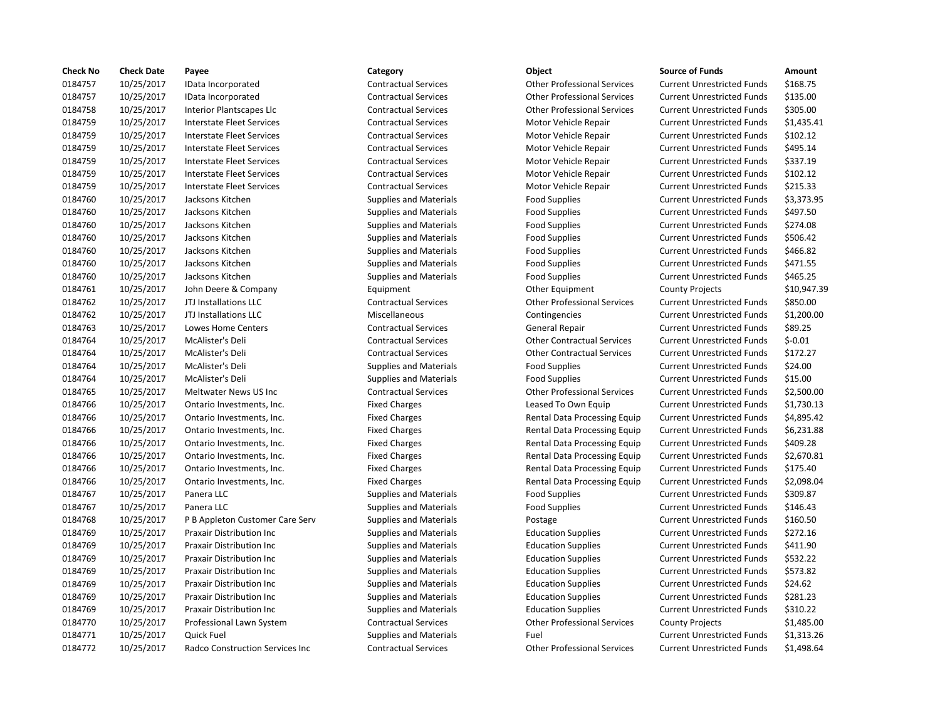| <b>Check No</b> | <b>Check Date</b> | Payee                                  | Category                      | Object                             | <b>Source of Funds</b>            | Amount      |
|-----------------|-------------------|----------------------------------------|-------------------------------|------------------------------------|-----------------------------------|-------------|
| 0184757         | 10/25/2017        | IData Incorporated                     | <b>Contractual Services</b>   | <b>Other Professional Services</b> | <b>Current Unrestricted Funds</b> | \$168.75    |
| 0184757         | 10/25/2017        | IData Incorporated                     | <b>Contractual Services</b>   | <b>Other Professional Services</b> | <b>Current Unrestricted Funds</b> | \$135.00    |
| 0184758         | 10/25/2017        | Interior Plantscapes Llc               | <b>Contractual Services</b>   | <b>Other Professional Services</b> | <b>Current Unrestricted Funds</b> | \$305.00    |
| 0184759         | 10/25/2017        | Interstate Fleet Services              | <b>Contractual Services</b>   | Motor Vehicle Repair               | <b>Current Unrestricted Funds</b> | \$1,435.41  |
| 0184759         | 10/25/2017        | <b>Interstate Fleet Services</b>       | <b>Contractual Services</b>   | Motor Vehicle Repair               | <b>Current Unrestricted Funds</b> | \$102.12    |
| 0184759         | 10/25/2017        | Interstate Fleet Services              | <b>Contractual Services</b>   | Motor Vehicle Repair               | <b>Current Unrestricted Funds</b> | \$495.14    |
| 0184759         | 10/25/2017        | <b>Interstate Fleet Services</b>       | <b>Contractual Services</b>   | Motor Vehicle Repair               | <b>Current Unrestricted Funds</b> | \$337.19    |
| 0184759         | 10/25/2017        | Interstate Fleet Services              | <b>Contractual Services</b>   | Motor Vehicle Repair               | <b>Current Unrestricted Funds</b> | \$102.12    |
| 0184759         | 10/25/2017        | <b>Interstate Fleet Services</b>       | <b>Contractual Services</b>   | Motor Vehicle Repair               | <b>Current Unrestricted Funds</b> | \$215.33    |
| 0184760         | 10/25/2017        | Jacksons Kitchen                       | <b>Supplies and Materials</b> | <b>Food Supplies</b>               | <b>Current Unrestricted Funds</b> | \$3,373.95  |
| 0184760         | 10/25/2017        | Jacksons Kitchen                       | <b>Supplies and Materials</b> | <b>Food Supplies</b>               | <b>Current Unrestricted Funds</b> | \$497.50    |
| 0184760         | 10/25/2017        | Jacksons Kitchen                       | <b>Supplies and Materials</b> | <b>Food Supplies</b>               | <b>Current Unrestricted Funds</b> | \$274.08    |
| 0184760         | 10/25/2017        | Jacksons Kitchen                       | <b>Supplies and Materials</b> | <b>Food Supplies</b>               | <b>Current Unrestricted Funds</b> | \$506.42    |
| 0184760         | 10/25/2017        | Jacksons Kitchen                       | <b>Supplies and Materials</b> | <b>Food Supplies</b>               | <b>Current Unrestricted Funds</b> | \$466.82    |
| 0184760         | 10/25/2017        | Jacksons Kitchen                       | <b>Supplies and Materials</b> | <b>Food Supplies</b>               | <b>Current Unrestricted Funds</b> | \$471.55    |
| 0184760         | 10/25/2017        | Jacksons Kitchen                       | <b>Supplies and Materials</b> | <b>Food Supplies</b>               | <b>Current Unrestricted Funds</b> | \$465.25    |
| 0184761         | 10/25/2017        | John Deere & Company                   | Equipment                     | Other Equipment                    | <b>County Projects</b>            | \$10,947.39 |
| 0184762         | 10/25/2017        | JTJ Installations LLC                  | <b>Contractual Services</b>   | <b>Other Professional Services</b> | <b>Current Unrestricted Funds</b> | \$850.00    |
| 0184762         | 10/25/2017        | JTJ Installations LLC                  | Miscellaneous                 | Contingencies                      | <b>Current Unrestricted Funds</b> | \$1,200.00  |
| 0184763         | 10/25/2017        | <b>Lowes Home Centers</b>              | <b>Contractual Services</b>   | General Repair                     | <b>Current Unrestricted Funds</b> | \$89.25     |
| 0184764         | 10/25/2017        | McAlister's Deli                       | <b>Contractual Services</b>   | <b>Other Contractual Services</b>  | <b>Current Unrestricted Funds</b> | $$-0.01$    |
| 0184764         | 10/25/2017        | McAlister's Deli                       | <b>Contractual Services</b>   | <b>Other Contractual Services</b>  | <b>Current Unrestricted Funds</b> | \$172.27    |
| 0184764         | 10/25/2017        | McAlister's Deli                       | <b>Supplies and Materials</b> | <b>Food Supplies</b>               | <b>Current Unrestricted Funds</b> | \$24.00     |
| 0184764         | 10/25/2017        | McAlister's Deli                       | <b>Supplies and Materials</b> | <b>Food Supplies</b>               | <b>Current Unrestricted Funds</b> | \$15.00     |
| 0184765         | 10/25/2017        | Meltwater News US Inc                  | <b>Contractual Services</b>   | <b>Other Professional Services</b> | <b>Current Unrestricted Funds</b> | \$2,500.00  |
| 0184766         | 10/25/2017        | Ontario Investments, Inc.              | <b>Fixed Charges</b>          | Leased To Own Equip                | <b>Current Unrestricted Funds</b> | \$1,730.13  |
| 0184766         | 10/25/2017        | Ontario Investments, Inc.              | <b>Fixed Charges</b>          | Rental Data Processing Equip       | <b>Current Unrestricted Funds</b> | \$4,895.42  |
| 0184766         | 10/25/2017        | Ontario Investments, Inc.              | <b>Fixed Charges</b>          | Rental Data Processing Equip       | <b>Current Unrestricted Funds</b> | \$6,231.88  |
| 0184766         | 10/25/2017        | Ontario Investments, Inc.              | <b>Fixed Charges</b>          | Rental Data Processing Equip       | <b>Current Unrestricted Funds</b> | \$409.28    |
| 0184766         | 10/25/2017        | Ontario Investments, Inc.              | <b>Fixed Charges</b>          | Rental Data Processing Equip       | <b>Current Unrestricted Funds</b> | \$2,670.81  |
| 0184766         | 10/25/2017        | Ontario Investments, Inc.              | <b>Fixed Charges</b>          | Rental Data Processing Equip       | <b>Current Unrestricted Funds</b> | \$175.40    |
| 0184766         | 10/25/2017        | Ontario Investments, Inc.              | <b>Fixed Charges</b>          | Rental Data Processing Equip       | <b>Current Unrestricted Funds</b> | \$2,098.04  |
| 0184767         | 10/25/2017        | Panera LLC                             | <b>Supplies and Materials</b> | <b>Food Supplies</b>               | <b>Current Unrestricted Funds</b> | \$309.87    |
| 0184767         | 10/25/2017        | Panera LLC                             | <b>Supplies and Materials</b> | <b>Food Supplies</b>               | <b>Current Unrestricted Funds</b> | \$146.43    |
| 0184768         | 10/25/2017        | P B Appleton Customer Care Serv        | <b>Supplies and Materials</b> | Postage                            | <b>Current Unrestricted Funds</b> | \$160.50    |
| 0184769         | 10/25/2017        | <b>Praxair Distribution Inc</b>        | <b>Supplies and Materials</b> | <b>Education Supplies</b>          | <b>Current Unrestricted Funds</b> | \$272.16    |
| 0184769         | 10/25/2017        | <b>Praxair Distribution Inc</b>        | <b>Supplies and Materials</b> | <b>Education Supplies</b>          | <b>Current Unrestricted Funds</b> | \$411.90    |
| 0184769         | 10/25/2017        | <b>Praxair Distribution Inc</b>        | <b>Supplies and Materials</b> | <b>Education Supplies</b>          | <b>Current Unrestricted Funds</b> | \$532.22    |
| 0184769         | 10/25/2017        | <b>Praxair Distribution Inc.</b>       | <b>Supplies and Materials</b> | <b>Education Supplies</b>          | <b>Current Unrestricted Funds</b> | \$573.82    |
| 0184769         | 10/25/2017        | <b>Praxair Distribution Inc</b>        | <b>Supplies and Materials</b> | <b>Education Supplies</b>          | <b>Current Unrestricted Funds</b> | \$24.62     |
| 0184769         | 10/25/2017        | <b>Praxair Distribution Inc.</b>       | <b>Supplies and Materials</b> | <b>Education Supplies</b>          | <b>Current Unrestricted Funds</b> | \$281.23    |
| 0184769         | 10/25/2017        | <b>Praxair Distribution Inc</b>        | <b>Supplies and Materials</b> | <b>Education Supplies</b>          | <b>Current Unrestricted Funds</b> | \$310.22    |
| 0184770         | 10/25/2017        | Professional Lawn System               | <b>Contractual Services</b>   | <b>Other Professional Services</b> | <b>County Projects</b>            | \$1,485.00  |
| 0184771         | 10/25/2017        | Quick Fuel                             | <b>Supplies and Materials</b> | Fuel                               | <b>Current Unrestricted Funds</b> | \$1,313.26  |
| 0184772         | 10/25/2017        | <b>Radco Construction Services Inc</b> | <b>Contractual Services</b>   | <b>Other Professional Services</b> | <b>Current Unrestricted Funds</b> | \$1.498.64  |

## 0184757 10/25/2017 IData Incorporated Contractual Services Other Professional Services Current Unrestricted Funds \$168.75 0184757 10/25/2017 IData Incorporated Contractual Services Other Professional Services Current Unrestricted Funds \$135.00 0184758 10/25/2017 Interior Plantscapes Llc Contractual Services Other Professional Services Current Unrestricted Funds \$305.00 0184759 10/25/2017 Interstate Fleet Services Contractual Services Motor Vehicle Repair Current Unrestricted Funds \$1,435.41 0184759 10/25/2017 Interstate Fleet Services Contractual Services Motor Vehicle Repair Current Unrestricted Funds \$102.12 0184759 10/25/2017 Interstate Fleet Services Contractual Services Motor Vehicle Repair Current Unrestricted Funds \$495.14 0184759 10/25/2017 Interstate Fleet Services Contractual Services Motor Vehicle Repair Current Unrestricted Funds \$337.19 0184759 10/25/2017 Interstate Fleet Services Contractual Services Motor Vehicle Repair Current Unrestricted Funds \$102.12 0184759 10/25/2017 Interstate Fleet Services Contractual Services Motor Vehicle Repair Current Unrestricted Funds \$215.33 0184760 10/25/2017 Jacksons Kitchen Supplies and Materials Food Supplies Current Unrestricted Funds \$3,373.95 0184760 10/25/2017 Jacksons Kitchen Supplies and Materials Food Supplies Current Unrestricted Funds \$497.50 Supplies and Materials **Food Supplies** Food Supplies Current Unrestricted Funds 5274.08 Supplies and Materials **Food Supplies** Food Supplies Current Unrestricted Funds \$506.42 0184760 10/25/2017 Jacksons Kitchen Supplies and Materials Food Supplies Current Unrestricted Funds \$466.82 Supplies and Materials **Food Supplies** Food Supplies Current Unrestricted Funds \$471.55 Supplies and Materials **Food Supplies** Food Supplies Current Unrestricted Funds \$465.25 Contractual Services **102017 Contractual Services** Current Unrestricted Funds \$850.00 Miscellaneous **1.200.00** Contingencies Current Unrestricted Funds \$1,200.00 0184763 10/25/2017 Lowes Home Centers Contractual Services General Repair Current Unrestricted Funds \$89.25 0184764 10/25/2017 McAlister's Deli Contractual Services Other Contractual Services Current Unrestricted Funds \$-0.01 0184764 10/25/2017 McAlister's Deli Contractual Services Other Contractual Services Current Unrestricted Funds \$172.27 0184764 10/25/2017 McAlister's Deli Supplies and Materials Food Supplies Current Unrestricted Funds \$24.00 0184764 10/25/2017 McAlister's Deli Supplies and Materials Food Supplies Current Unrestricted Funds \$15.00 0184765 10/25/2017 Meltwater News US Inc Contractual Services Other Professional Services Current Unrestricted Funds \$2,500.00 Fixed Charges **1.730.13** Leased To Own Equip Current Unrestricted Funds \$1,730.13 Fixed Charges The Theorem Charges Rental Data Processing Equip Current Unrestricted Funds \$4,895.42 Fixed Charges The Rental Data Processing Equip Current Unrestricted Funds \$6,231.88 Fixed Charges The Superson Charges Rental Data Processing Equip Current Unrestricted Funds \$409.28 Fixed Charges The Rental Data Processing Equip Current Unrestricted Funds \$2,670.81 Fixed Charges **10.2576 10.2017 Clubrent Charges** Rental Data Processing Equip Current Unrestricted Funds \$175.40 Fixed Charges The Theorem Charges Rental Data Processing Equip Current Unrestricted Funds \$2,098.04 0184767 10/25/2017 Panera LLC Supplies and Materials Food Supplies Current Unrestricted Funds \$309.87 Supplies and Materials **10.47 IDC Supplies Current Unrestricted Funds** 5146.43 rv Supplies and Materials **Custom Custom Custom Current Unrestricted Funds** 5160.50 Supplies and Materials **Education Supplies Current Unrestricted Funds** \$272.16 Supplies and Materials **Education Supplies** Current Unrestricted Funds \$411.90 0184769 10/25/2017 Praxair Distribution Inc Supplies and Materials Education Supplies Current Unrestricted Funds \$532.22 Supplies and Materials **Education Supplies Current Unrestricted Funds** \$573.82 Supplies and Materials **Education Supplies Current Unrestricted Funds** \$24.62 Supplies and Materials **Education Supplies** Current Unrestricted Funds \$281.23 0184769 10/25/2017 Praxair Distribution Inc Supplies and Materials Education Supplies Current Unrestricted Funds \$310.22 0184770 10/25/2017 Professional Lawn System Contractual Services Other Professional Services County Projects \$1,485.00 0184771 10/25/2017 Quick Fuel Supplies and Materials Fuel Current Unrestricted Funds \$1,313.26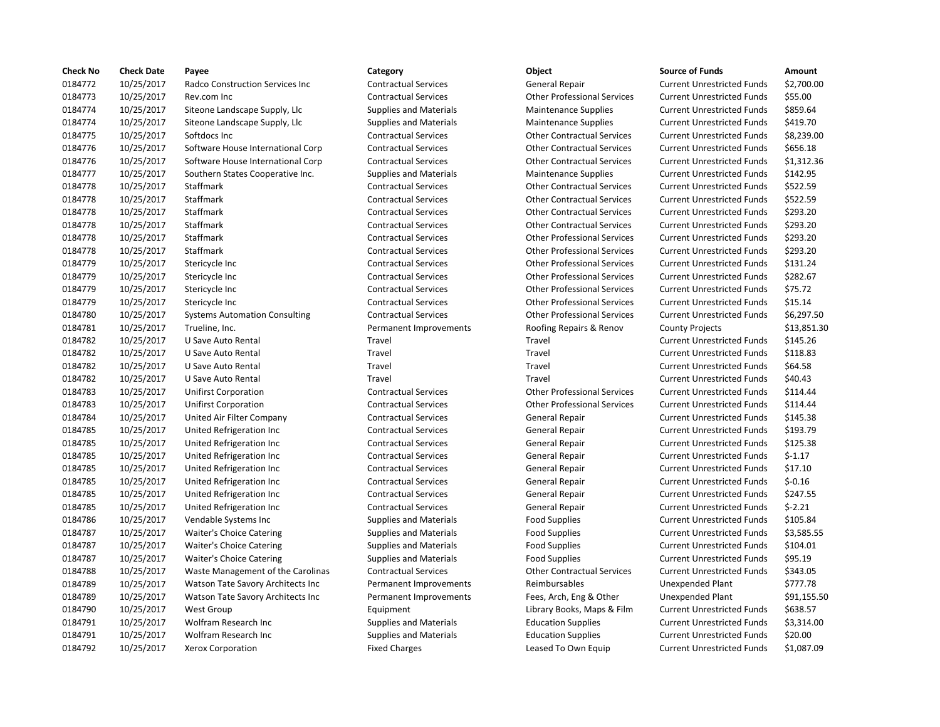| <b>Check No</b> | <b>Check Date</b> | Payee                                | Category                      | Object                             | <b>Source of Funds</b>            | Amount    |
|-----------------|-------------------|--------------------------------------|-------------------------------|------------------------------------|-----------------------------------|-----------|
| 0184772         | 10/25/2017        | Radco Construction Services Inc      | <b>Contractual Services</b>   | General Repair                     | <b>Current Unrestricted Funds</b> | \$2,700.0 |
| 0184773         | 10/25/2017        | Rev.com Inc                          | <b>Contractual Services</b>   | <b>Other Professional Services</b> | <b>Current Unrestricted Funds</b> | \$55.00   |
| 0184774         | 10/25/2017        | Siteone Landscape Supply, Llc        | <b>Supplies and Materials</b> | <b>Maintenance Supplies</b>        | <b>Current Unrestricted Funds</b> | \$859.64  |
| 0184774         | 10/25/2017        | Siteone Landscape Supply, Llc        | <b>Supplies and Materials</b> | Maintenance Supplies               | <b>Current Unrestricted Funds</b> | \$419.70  |
| 0184775         | 10/25/2017        | Softdocs Inc                         | <b>Contractual Services</b>   | <b>Other Contractual Services</b>  | <b>Current Unrestricted Funds</b> | \$8,239.0 |
| 0184776         | 10/25/2017        | Software House International Corp    | <b>Contractual Services</b>   | <b>Other Contractual Services</b>  | <b>Current Unrestricted Funds</b> | \$656.18  |
| 0184776         | 10/25/2017        | Software House International Corp    | <b>Contractual Services</b>   | <b>Other Contractual Services</b>  | <b>Current Unrestricted Funds</b> | \$1,312.3 |
| 0184777         | 10/25/2017        | Southern States Cooperative Inc.     | <b>Supplies and Materials</b> | <b>Maintenance Supplies</b>        | <b>Current Unrestricted Funds</b> | \$142.95  |
| 0184778         | 10/25/2017        | Staffmark                            | <b>Contractual Services</b>   | <b>Other Contractual Services</b>  | <b>Current Unrestricted Funds</b> | \$522.59  |
| 0184778         | 10/25/2017        | Staffmark                            | <b>Contractual Services</b>   | <b>Other Contractual Services</b>  | <b>Current Unrestricted Funds</b> | \$522.59  |
| 0184778         | 10/25/2017        | Staffmark                            | <b>Contractual Services</b>   | <b>Other Contractual Services</b>  | <b>Current Unrestricted Funds</b> | \$293.20  |
| 0184778         | 10/25/2017        | Staffmark                            | <b>Contractual Services</b>   | <b>Other Contractual Services</b>  | <b>Current Unrestricted Funds</b> | \$293.20  |
| 0184778         | 10/25/2017        | Staffmark                            | <b>Contractual Services</b>   | <b>Other Professional Services</b> | <b>Current Unrestricted Funds</b> | \$293.20  |
| 0184778         | 10/25/2017        | Staffmark                            | <b>Contractual Services</b>   | <b>Other Professional Services</b> | <b>Current Unrestricted Funds</b> | \$293.20  |
| 0184779         | 10/25/2017        | Stericycle Inc                       | <b>Contractual Services</b>   | <b>Other Professional Services</b> | <b>Current Unrestricted Funds</b> | \$131.24  |
| 0184779         | 10/25/2017        | Stericycle Inc                       | <b>Contractual Services</b>   | <b>Other Professional Services</b> | <b>Current Unrestricted Funds</b> | \$282.67  |
| 0184779         | 10/25/2017        | Stericycle Inc                       | <b>Contractual Services</b>   | <b>Other Professional Services</b> | <b>Current Unrestricted Funds</b> | \$75.72   |
| 0184779         | 10/25/2017        | Stericycle Inc                       | <b>Contractual Services</b>   | <b>Other Professional Services</b> | <b>Current Unrestricted Funds</b> | \$15.14   |
| 0184780         | 10/25/2017        | <b>Systems Automation Consulting</b> | <b>Contractual Services</b>   | <b>Other Professional Services</b> | <b>Current Unrestricted Funds</b> | \$6,297.5 |
| 0184781         | 10/25/2017        | Trueline, Inc.                       | Permanent Improvements        | Roofing Repairs & Renov            | <b>County Projects</b>            | \$13,851  |
| 0184782         | 10/25/2017        | U Save Auto Rental                   | Travel                        | Travel                             | <b>Current Unrestricted Funds</b> | \$145.26  |
| 0184782         | 10/25/2017        | U Save Auto Rental                   | Travel                        | Travel                             | <b>Current Unrestricted Funds</b> | \$118.83  |
| 0184782         | 10/25/2017        | U Save Auto Rental                   | Travel                        | Travel                             | <b>Current Unrestricted Funds</b> | \$64.58   |
| 0184782         | 10/25/2017        | U Save Auto Rental                   | Travel                        | Travel                             | <b>Current Unrestricted Funds</b> | \$40.43   |
| 0184783         | 10/25/2017        | <b>Unifirst Corporation</b>          | <b>Contractual Services</b>   | <b>Other Professional Services</b> | <b>Current Unrestricted Funds</b> | \$114.44  |
| 0184783         | 10/25/2017        | <b>Unifirst Corporation</b>          | <b>Contractual Services</b>   | <b>Other Professional Services</b> | <b>Current Unrestricted Funds</b> | \$114.44  |
| 0184784         | 10/25/2017        | United Air Filter Company            | <b>Contractual Services</b>   | General Repair                     | <b>Current Unrestricted Funds</b> | \$145.38  |
| 0184785         | 10/25/2017        | United Refrigeration Inc             | <b>Contractual Services</b>   | General Repair                     | <b>Current Unrestricted Funds</b> | \$193.79  |
| 0184785         | 10/25/2017        | United Refrigeration Inc             | <b>Contractual Services</b>   | <b>General Repair</b>              | <b>Current Unrestricted Funds</b> | \$125.38  |
| 0184785         | 10/25/2017        | United Refrigeration Inc             | <b>Contractual Services</b>   | <b>General Repair</b>              | <b>Current Unrestricted Funds</b> | $$-1.17$  |
| 0184785         | 10/25/2017        | United Refrigeration Inc             | <b>Contractual Services</b>   | General Repair                     | <b>Current Unrestricted Funds</b> | \$17.10   |
| 0184785         | 10/25/2017        | United Refrigeration Inc             | <b>Contractual Services</b>   | General Repair                     | <b>Current Unrestricted Funds</b> | $$-0.16$  |
| 0184785         | 10/25/2017        | United Refrigeration Inc             | <b>Contractual Services</b>   | General Repair                     | <b>Current Unrestricted Funds</b> | \$247.55  |
| 0184785         | 10/25/2017        | United Refrigeration Inc             | <b>Contractual Services</b>   | <b>General Repair</b>              | <b>Current Unrestricted Funds</b> | $$-2.21$  |
| 0184786         | 10/25/2017        | Vendable Systems Inc                 | <b>Supplies and Materials</b> | <b>Food Supplies</b>               | <b>Current Unrestricted Funds</b> | \$105.84  |
| 0184787         | 10/25/2017        | <b>Waiter's Choice Catering</b>      | <b>Supplies and Materials</b> | <b>Food Supplies</b>               | <b>Current Unrestricted Funds</b> | \$3,585.5 |
| 0184787         | 10/25/2017        | Waiter's Choice Catering             | <b>Supplies and Materials</b> | <b>Food Supplies</b>               | <b>Current Unrestricted Funds</b> | \$104.01  |
| 0184787         | 10/25/2017        | Waiter's Choice Catering             | <b>Supplies and Materials</b> | <b>Food Supplies</b>               | <b>Current Unrestricted Funds</b> | \$95.19   |
| 0184788         | 10/25/2017        | Waste Management of the Carolinas    | <b>Contractual Services</b>   | <b>Other Contractual Services</b>  | <b>Current Unrestricted Funds</b> | \$343.05  |
| 0184789         | 10/25/2017        | Watson Tate Savory Architects Inc    | Permanent Improvements        | Reimbursables                      | <b>Unexpended Plant</b>           | \$777.78  |
| 0184789         | 10/25/2017        | Watson Tate Savory Architects Inc    | Permanent Improvements        | Fees, Arch, Eng & Other            | Unexpended Plant                  | \$91,155  |
| 0184790         | 10/25/2017        | <b>West Group</b>                    | Equipment                     | Library Books, Maps & Film         | <b>Current Unrestricted Funds</b> | \$638.57  |
| 0184791         | 10/25/2017        | Wolfram Research Inc                 | <b>Supplies and Materials</b> | <b>Education Supplies</b>          | <b>Current Unrestricted Funds</b> | \$3,314.0 |
| 0184791         | 10/25/2017        | <b>Wolfram Research Inc.</b>         | <b>Supplies and Materials</b> | <b>Education Supplies</b>          | <b>Current Unrestricted Funds</b> | \$20.00   |
| 0184792         | 10/25/2017        | <b>Xerox Corporation</b>             | <b>Fixed Charges</b>          | Leased To Own Equip                | <b>Current Unrestricted Funds</b> | \$1,087.0 |
|                 |                   |                                      |                               |                                    |                                   |           |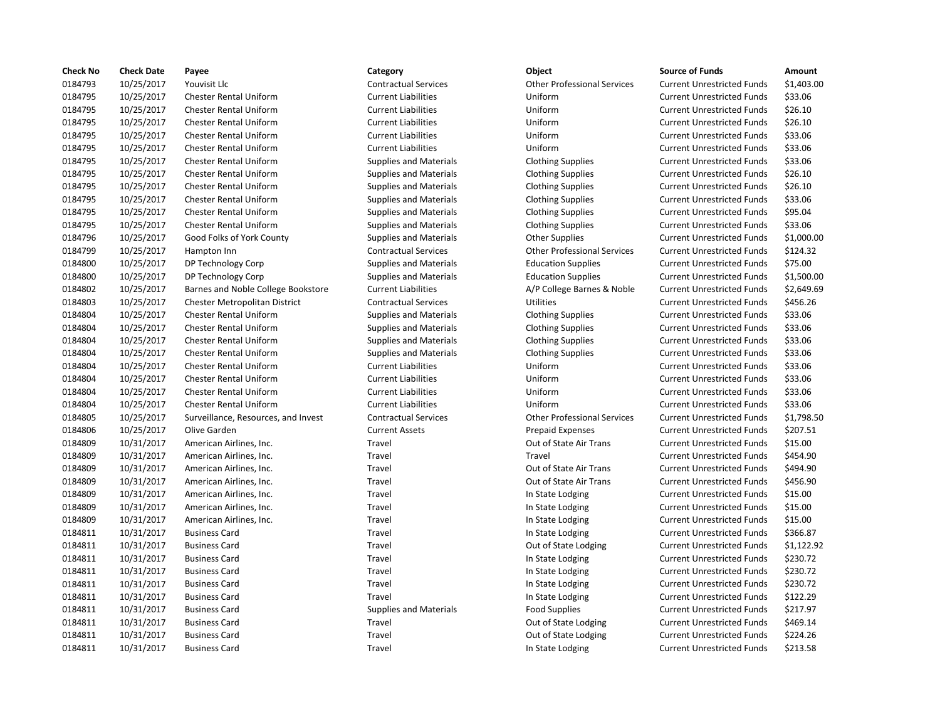| <b>Check No</b> | <b>Check Date</b> | Payee                               | Category                      | <b>Object</b>                      | <b>Source of Funds</b>            | Amount    |
|-----------------|-------------------|-------------------------------------|-------------------------------|------------------------------------|-----------------------------------|-----------|
| 0184793         | 10/25/2017        | Youvisit Llc                        | <b>Contractual Services</b>   | <b>Other Professional Services</b> | <b>Current Unrestricted Funds</b> | \$1,403.0 |
| 0184795         | 10/25/2017        | <b>Chester Rental Uniform</b>       | <b>Current Liabilities</b>    | Uniform                            | <b>Current Unrestricted Funds</b> | \$33.06   |
| 0184795         | 10/25/2017        | <b>Chester Rental Uniform</b>       | <b>Current Liabilities</b>    | Uniform                            | <b>Current Unrestricted Funds</b> | \$26.10   |
| 0184795         | 10/25/2017        | <b>Chester Rental Uniform</b>       | <b>Current Liabilities</b>    | Uniform                            | <b>Current Unrestricted Funds</b> | \$26.10   |
| 0184795         | 10/25/2017        | <b>Chester Rental Uniform</b>       | <b>Current Liabilities</b>    | Uniform                            | <b>Current Unrestricted Funds</b> | \$33.06   |
| 0184795         | 10/25/2017        | <b>Chester Rental Uniform</b>       | <b>Current Liabilities</b>    | Uniform                            | <b>Current Unrestricted Funds</b> | \$33.06   |
| 0184795         | 10/25/2017        | <b>Chester Rental Uniform</b>       | <b>Supplies and Materials</b> | <b>Clothing Supplies</b>           | <b>Current Unrestricted Funds</b> | \$33.06   |
| 0184795         | 10/25/2017        | <b>Chester Rental Uniform</b>       | <b>Supplies and Materials</b> | <b>Clothing Supplies</b>           | <b>Current Unrestricted Funds</b> | \$26.10   |
| 0184795         | 10/25/2017        | <b>Chester Rental Uniform</b>       | <b>Supplies and Materials</b> | <b>Clothing Supplies</b>           | <b>Current Unrestricted Funds</b> | \$26.10   |
| 0184795         | 10/25/2017        | <b>Chester Rental Uniform</b>       | <b>Supplies and Materials</b> | <b>Clothing Supplies</b>           | <b>Current Unrestricted Funds</b> | \$33.06   |
| 0184795         | 10/25/2017        | <b>Chester Rental Uniform</b>       | <b>Supplies and Materials</b> | <b>Clothing Supplies</b>           | <b>Current Unrestricted Funds</b> | \$95.04   |
| 0184795         | 10/25/2017        | <b>Chester Rental Uniform</b>       | <b>Supplies and Materials</b> | <b>Clothing Supplies</b>           | <b>Current Unrestricted Funds</b> | \$33.06   |
| 0184796         | 10/25/2017        | Good Folks of York County           | <b>Supplies and Materials</b> | <b>Other Supplies</b>              | <b>Current Unrestricted Funds</b> | \$1,000.0 |
| 0184799         | 10/25/2017        | Hampton Inn                         | <b>Contractual Services</b>   | <b>Other Professional Services</b> | <b>Current Unrestricted Funds</b> | \$124.32  |
| 0184800         | 10/25/2017        | DP Technology Corp                  | <b>Supplies and Materials</b> | <b>Education Supplies</b>          | <b>Current Unrestricted Funds</b> | \$75.00   |
| 0184800         | 10/25/2017        | DP Technology Corp                  | Supplies and Materials        | <b>Education Supplies</b>          | <b>Current Unrestricted Funds</b> | \$1,500.0 |
| 0184802         | 10/25/2017        | Barnes and Noble College Bookstore  | <b>Current Liabilities</b>    | A/P College Barnes & Noble         | <b>Current Unrestricted Funds</b> | \$2,649.6 |
| 0184803         | 10/25/2017        | Chester Metropolitan District       | <b>Contractual Services</b>   | <b>Utilities</b>                   | <b>Current Unrestricted Funds</b> | \$456.26  |
| 0184804         | 10/25/2017        | <b>Chester Rental Uniform</b>       | <b>Supplies and Materials</b> | <b>Clothing Supplies</b>           | <b>Current Unrestricted Funds</b> | \$33.06   |
| 0184804         | 10/25/2017        | Chester Rental Uniform              | <b>Supplies and Materials</b> | <b>Clothing Supplies</b>           | <b>Current Unrestricted Funds</b> | \$33.06   |
| 0184804         | 10/25/2017        | <b>Chester Rental Uniform</b>       | <b>Supplies and Materials</b> | <b>Clothing Supplies</b>           | <b>Current Unrestricted Funds</b> | \$33.06   |
| 0184804         | 10/25/2017        | <b>Chester Rental Uniform</b>       | <b>Supplies and Materials</b> | <b>Clothing Supplies</b>           | <b>Current Unrestricted Funds</b> | \$33.06   |
| 0184804         | 10/25/2017        | <b>Chester Rental Uniform</b>       | <b>Current Liabilities</b>    | Uniform                            | <b>Current Unrestricted Funds</b> | \$33.06   |
| 0184804         | 10/25/2017        | <b>Chester Rental Uniform</b>       | <b>Current Liabilities</b>    | Uniform                            | <b>Current Unrestricted Funds</b> | \$33.06   |
| 0184804         | 10/25/2017        | <b>Chester Rental Uniform</b>       | <b>Current Liabilities</b>    | Uniform                            | <b>Current Unrestricted Funds</b> | \$33.06   |
| 0184804         | 10/25/2017        | <b>Chester Rental Uniform</b>       | <b>Current Liabilities</b>    | Uniform                            | <b>Current Unrestricted Funds</b> | \$33.06   |
| 0184805         | 10/25/2017        | Surveillance, Resources, and Invest | <b>Contractual Services</b>   | <b>Other Professional Services</b> | <b>Current Unrestricted Funds</b> | \$1,798.5 |
| 0184806         | 10/25/2017        | Olive Garden                        | <b>Current Assets</b>         | <b>Prepaid Expenses</b>            | <b>Current Unrestricted Funds</b> | \$207.51  |
| 0184809         | 10/31/2017        | American Airlines, Inc.             | Travel                        | Out of State Air Trans             | <b>Current Unrestricted Funds</b> | \$15.00   |
| 0184809         | 10/31/2017        | American Airlines, Inc.             | Travel                        | Travel                             | <b>Current Unrestricted Funds</b> | \$454.90  |
| 0184809         | 10/31/2017        | American Airlines, Inc.             | Travel                        | Out of State Air Trans             | <b>Current Unrestricted Funds</b> | \$494.90  |
| 0184809         | 10/31/2017        | American Airlines, Inc.             | Travel                        | Out of State Air Trans             | <b>Current Unrestricted Funds</b> | \$456.90  |
| 0184809         | 10/31/2017        | American Airlines, Inc.             | Travel                        | In State Lodging                   | <b>Current Unrestricted Funds</b> | \$15.00   |
| 0184809         | 10/31/2017        | American Airlines, Inc.             | Travel                        | In State Lodging                   | <b>Current Unrestricted Funds</b> | \$15.00   |
| 0184809         | 10/31/2017        | American Airlines, Inc.             | Travel                        | In State Lodging                   | <b>Current Unrestricted Funds</b> | \$15.00   |
| 0184811         | 10/31/2017        | <b>Business Card</b>                | Travel                        | In State Lodging                   | <b>Current Unrestricted Funds</b> | \$366.87  |
| 0184811         | 10/31/2017        | <b>Business Card</b>                | Travel                        | Out of State Lodging               | <b>Current Unrestricted Funds</b> | \$1,122.9 |
| 0184811         | 10/31/2017        | <b>Business Card</b>                | Travel                        | In State Lodging                   | <b>Current Unrestricted Funds</b> | \$230.72  |
| 0184811         | 10/31/2017        | <b>Business Card</b>                | Travel                        |                                    | <b>Current Unrestricted Funds</b> | \$230.72  |
| 0184811         |                   |                                     |                               | In State Lodging                   |                                   | \$230.72  |
|                 | 10/31/2017        | <b>Business Card</b>                | Travel                        | In State Lodging                   | <b>Current Unrestricted Funds</b> |           |
| 0184811         | 10/31/2017        | <b>Business Card</b>                | Travel                        | In State Lodging                   | <b>Current Unrestricted Funds</b> | \$122.29  |
| 0184811         | 10/31/2017        | <b>Business Card</b>                | <b>Supplies and Materials</b> | <b>Food Supplies</b>               | <b>Current Unrestricted Funds</b> | \$217.97  |
| 0184811         | 10/31/2017        | <b>Business Card</b>                | Travel                        | Out of State Lodging               | <b>Current Unrestricted Funds</b> | \$469.14  |
| 0184811         | 10/31/2017        | <b>Business Card</b>                | Travel                        | Out of State Lodging               | <b>Current Unrestricted Funds</b> | \$224.26  |
| 0184811         | 10/31/2017        | <b>Business Card</b>                | Travel                        | In State Lodging                   | <b>Current Unrestricted Funds</b> | \$213.58  |

0184793 10/25/2017 Youvisit Llc Contractual Services Other Professional Services Current Unrestricted Funds \$1,403.00 Current Unrestricted Funds \$33.06 Current Unrestricted Funds \$26.10 Current Unrestricted Funds \$26.10 Current Unrestricted Funds \$33.06 Current Unrestricted Funds \$33.06 Current Unrestricted Funds \$33.06 Current Unrestricted Funds \$26.10 Current Unrestricted Funds \$26.10 Current Unrestricted Funds \$33.06 Current Unrestricted Funds \$95.04 Current Unrestricted Funds \$33.06 Current Unrestricted Funds \$1,000.00 Current Unrestricted Funds \$124.32 Current Unrestricted Funds \$75.00 Current Unrestricted Funds \$1,500.00 Current Unrestricted Funds \$2,649.69 Current Unrestricted Funds \$456.26 Current Unrestricted Funds \$33.06 Current Unrestricted Funds \$33.06 Current Unrestricted Funds \$33.06 Current Unrestricted Funds \$33.06 Current Unrestricted Funds \$33.06 Current Unrestricted Funds \$33.06 Current Unrestricted Funds \$33.06 Current Unrestricted Funds \$33.06 Current Unrestricted Funds \$1,798.50 Current Unrestricted Funds \$207.51 Current Unrestricted Funds \$15.00 Current Unrestricted Funds \$454.90 Current Unrestricted Funds \$494.90 Current Unrestricted Funds \$456.90 Current Unrestricted Funds \$15.00 Current Unrestricted Funds \$15.00 Current Unrestricted Funds \$15.00 Current Unrestricted Funds \$366.87 Current Unrestricted Funds \$1,122.92 Current Unrestricted Funds \$230.72 Current Unrestricted Funds \$230.72 Current Unrestricted Funds \$230.72 Current Unrestricted Funds \$122.29 Current Unrestricted Funds \$217.97 Current Unrestricted Funds \$469.14 Current Unrestricted Funds \$224.26 Current Unrestricted Funds \$213.58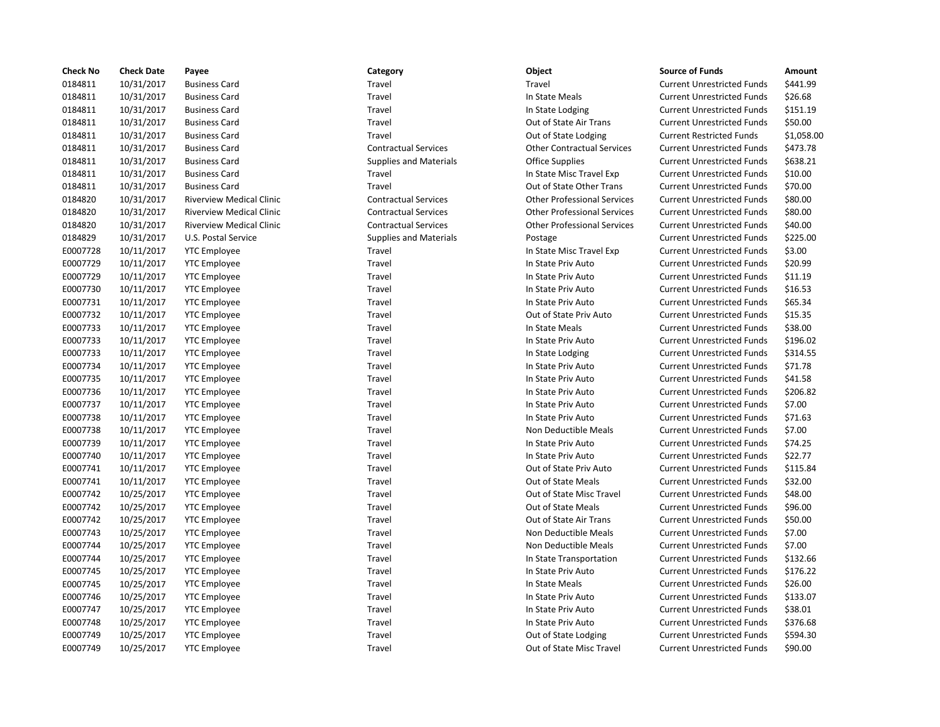| <b>Check No</b> | <b>Check Date</b> | Payee                           | Category                      | Object                             | <b>Source of Funds</b>            | Amount    |
|-----------------|-------------------|---------------------------------|-------------------------------|------------------------------------|-----------------------------------|-----------|
| 0184811         | 10/31/2017        | <b>Business Card</b>            | Travel                        | Travel                             | <b>Current Unrestricted Funds</b> | \$441.99  |
| 0184811         | 10/31/2017        | <b>Business Card</b>            | Travel                        | In State Meals                     | <b>Current Unrestricted Funds</b> | \$26.68   |
| 0184811         | 10/31/2017        | <b>Business Card</b>            | Travel                        | In State Lodging                   | <b>Current Unrestricted Funds</b> | \$151.19  |
| 0184811         | 10/31/2017        | <b>Business Card</b>            | Travel                        | Out of State Air Trans             | <b>Current Unrestricted Funds</b> | \$50.00   |
| 0184811         | 10/31/2017        | <b>Business Card</b>            | Travel                        | Out of State Lodging               | <b>Current Restricted Funds</b>   | \$1,058.0 |
| 0184811         | 10/31/2017        | <b>Business Card</b>            | <b>Contractual Services</b>   | <b>Other Contractual Services</b>  | <b>Current Unrestricted Funds</b> | \$473.78  |
| 0184811         | 10/31/2017        | <b>Business Card</b>            | <b>Supplies and Materials</b> | <b>Office Supplies</b>             | <b>Current Unrestricted Funds</b> | \$638.21  |
| 0184811         | 10/31/2017        | <b>Business Card</b>            | Travel                        | In State Misc Travel Exp           | <b>Current Unrestricted Funds</b> | \$10.00   |
| 0184811         | 10/31/2017        | <b>Business Card</b>            | Travel                        | Out of State Other Trans           | <b>Current Unrestricted Funds</b> | \$70.00   |
| 0184820         | 10/31/2017        | <b>Riverview Medical Clinic</b> | <b>Contractual Services</b>   | <b>Other Professional Services</b> | <b>Current Unrestricted Funds</b> | \$80.00   |
| 0184820         | 10/31/2017        | <b>Riverview Medical Clinic</b> | <b>Contractual Services</b>   | <b>Other Professional Services</b> | <b>Current Unrestricted Funds</b> | \$80.00   |
| 0184820         | 10/31/2017        | <b>Riverview Medical Clinic</b> | <b>Contractual Services</b>   | <b>Other Professional Services</b> | <b>Current Unrestricted Funds</b> | \$40.00   |
| 0184829         | 10/31/2017        | U.S. Postal Service             | <b>Supplies and Materials</b> | Postage                            | <b>Current Unrestricted Funds</b> | \$225.00  |
| E0007728        | 10/11/2017        | <b>YTC</b> Employee             | Travel                        | In State Misc Travel Exp           | <b>Current Unrestricted Funds</b> | \$3.00    |
| E0007729        | 10/11/2017        | <b>YTC</b> Employee             | Travel                        | In State Priv Auto                 | <b>Current Unrestricted Funds</b> | \$20.99   |
| E0007729        | 10/11/2017        | <b>YTC</b> Employee             | Travel                        | In State Priv Auto                 | <b>Current Unrestricted Funds</b> | \$11.19   |
| E0007730        | 10/11/2017        | <b>YTC</b> Employee             | Travel                        | In State Priv Auto                 | <b>Current Unrestricted Funds</b> | \$16.53   |
| E0007731        | 10/11/2017        | <b>YTC</b> Employee             | Travel                        | In State Priv Auto                 | <b>Current Unrestricted Funds</b> | \$65.34   |
| E0007732        | 10/11/2017        | <b>YTC Employee</b>             | Travel                        | Out of State Priv Auto             | <b>Current Unrestricted Funds</b> | \$15.35   |
| E0007733        | 10/11/2017        | <b>YTC Employee</b>             | Travel                        | In State Meals                     | <b>Current Unrestricted Funds</b> | \$38.00   |
| E0007733        | 10/11/2017        | <b>YTC</b> Employee             | Travel                        | In State Priv Auto                 | <b>Current Unrestricted Funds</b> | \$196.02  |
| E0007733        | 10/11/2017        | <b>YTC Employee</b>             | Travel                        | In State Lodging                   | <b>Current Unrestricted Funds</b> | \$314.55  |
| E0007734        | 10/11/2017        | <b>YTC</b> Employee             | Travel                        | In State Priv Auto                 | <b>Current Unrestricted Funds</b> | \$71.78   |
| E0007735        | 10/11/2017        | <b>YTC Employee</b>             | Travel                        | In State Priv Auto                 | <b>Current Unrestricted Funds</b> | \$41.58   |
| E0007736        | 10/11/2017        | <b>YTC Employee</b>             | Travel                        | In State Priv Auto                 | <b>Current Unrestricted Funds</b> | \$206.82  |
| E0007737        | 10/11/2017        | <b>YTC</b> Employee             | Travel                        | In State Priv Auto                 | <b>Current Unrestricted Funds</b> | \$7.00    |
| E0007738        | 10/11/2017        | <b>YTC Employee</b>             | Travel                        | In State Priv Auto                 | <b>Current Unrestricted Funds</b> | \$71.63   |
| E0007738        | 10/11/2017        | <b>YTC</b> Employee             | Travel                        | Non Deductible Meals               | <b>Current Unrestricted Funds</b> | \$7.00    |
| E0007739        | 10/11/2017        | <b>YTC</b> Employee             | Travel                        | In State Priv Auto                 | <b>Current Unrestricted Funds</b> | \$74.25   |
| E0007740        | 10/11/2017        | <b>YTC Employee</b>             | Travel                        | In State Priv Auto                 | <b>Current Unrestricted Funds</b> | \$22.77   |
| E0007741        | 10/11/2017        | <b>YTC</b> Employee             | Travel                        | Out of State Priv Auto             | <b>Current Unrestricted Funds</b> | \$115.84  |
| E0007741        | 10/11/2017        | <b>YTC Employee</b>             | Travel                        | <b>Out of State Meals</b>          | <b>Current Unrestricted Funds</b> | \$32.00   |
| E0007742        | 10/25/2017        | <b>YTC</b> Employee             | Travel                        | Out of State Misc Travel           | <b>Current Unrestricted Funds</b> | \$48.00   |
| E0007742        | 10/25/2017        | <b>YTC Employee</b>             | Travel                        | Out of State Meals                 | <b>Current Unrestricted Funds</b> | \$96.00   |
| E0007742        | 10/25/2017        | <b>YTC Employee</b>             | Travel                        | Out of State Air Trans             | <b>Current Unrestricted Funds</b> | \$50.00   |
| E0007743        | 10/25/2017        | <b>YTC</b> Employee             | Travel                        | Non Deductible Meals               | <b>Current Unrestricted Funds</b> | \$7.00    |
| E0007744        | 10/25/2017        | <b>YTC Employee</b>             | Travel                        | Non Deductible Meals               | <b>Current Unrestricted Funds</b> | \$7.00    |
| E0007744        | 10/25/2017        | <b>YTC</b> Employee             | Travel                        | In State Transportation            | <b>Current Unrestricted Funds</b> | \$132.66  |
| E0007745        | 10/25/2017        | <b>YTC Employee</b>             | Travel                        | In State Priv Auto                 | <b>Current Unrestricted Funds</b> | \$176.22  |
| E0007745        | 10/25/2017        | <b>YTC</b> Employee             | Travel                        | In State Meals                     | <b>Current Unrestricted Funds</b> | \$26.00   |
| E0007746        | 10/25/2017        | <b>YTC</b> Employee             | Travel                        | In State Priv Auto                 | <b>Current Unrestricted Funds</b> | \$133.07  |
| E0007747        | 10/25/2017        | <b>YTC Employee</b>             | Travel                        | In State Priv Auto                 | <b>Current Unrestricted Funds</b> | \$38.01   |
| E0007748        | 10/25/2017        | <b>YTC</b> Employee             | Travel                        | In State Priv Auto                 | <b>Current Unrestricted Funds</b> | \$376.68  |
| E0007749        | 10/25/2017        | <b>YTC Employee</b>             | Travel                        | Out of State Lodging               | <b>Current Unrestricted Funds</b> | \$594.30  |
| E0007749        | 10/25/2017        | <b>YTC</b> Employee             | Travel                        | Out of State Misc Travel           | <b>Current Unrestricted Funds</b> | \$90.00   |

## Travel **12181 10181 10181 10181 10181 10181 10181 10181 10181 10181 10181 10181 10181 10181 10181 10181 10181 10181 10181 10181 10181 10181 10181 10181 10181 10181 10181 10181 10181 10181 10181 10181 10181 10181 10181 1018** 0184811 10/31/2017 Business Card Travel In State Meals Current Unrestricted Funds \$26.68 0184811 10/31/2017 Business Card Travel In State Lodging Current Unrestricted Funds \$151.19 Travel **10181 10181 10181 10181 10181 10181 10181 10181 10181 10181 10181 10181 10181 10181 10181 10181 10181 10181 10181 10181 10181 10181 10181 10181 10181 10181 10181 10181 10181 10181 10181 10181 10181 10181 10181 1018** Travel **1.41-10181 10184 10184 10184 10184 10184 10184 10184 10184 10184 10184 10184 10184 10184 10184 10184 1018** 0184811 10/31/2017 Business Card Contractual Services Other Contractual Services Current Unrestricted Funds \$473.78 Supplies and Materials **Current Unrestricted Funds** 5638.21 0184811 10/31/2017 Business Card Travel In State Misc Travel Exp Current Unrestricted Funds \$10.00 0184811 10/31/2017 Business Card Travel Out of State Other Trans Current Unrestricted Funds \$70.00 nic Contractual Services Current Unrestricted Funds \$80.00 nic Contractual Services Current Other Professional Services Current Unrestricted Funds \$80.00 nic Contractual Services CONER Professional Services Current Unrestricted Funds 540.00 Supplies and Materials **1018 10212 10212 1023 1024 1024 1024 1024 103** 1025.00 Travel **EXECUTE:** Travel Exp Current Unrestricted Funds \$3.00 E0007729 10/11/2017 YTC Employee Travel In State Priv Auto Current Unrestricted Funds \$20.99 Travel **EXECUTE:** Travel In State Priv Auto Current Unrestricted Funds \$11.19 E0007730 10/11/2017 YTC Employee Travel In State Priv Auto Current Unrestricted Funds \$16.53 Travel Travel **In State Priv Auto** Current Unrestricted Funds \$65.34 Travel **EXECUTE:** Travel Current Unrestricted Funds \$15.35 Travel **EXECUTE:** In State Meals Current Unrestricted Funds \$38.00 E0007733 10/11/2017 YTC Employee Travel In State Priv Auto Current Unrestricted Funds \$196.02 Travel **EXECUTE:** In State Lodging Current Unrestricted Funds \$314.55 Travel **EXECUTE:** In State Priv Auto **Current Unrestricted Funds** \$71.78 Travel **EXECUTE:** In State Priv Auto **Current Unrestricted Funds** \$41.58 E0007736 10/11/2017 YTC Employee Travel In State Priv Auto Current Unrestricted Funds \$206.82 Travel **EXECUTE:** In State Priv Auto Current Unrestricted Funds \$7.00 Travel **EXECUTE:** In State Priv Auto **Current Unrestricted Funds** \$71.63 Travel **EXECUTE:** Non Deductible Meals Current Unrestricted Funds \$7.00 E0007739 10/11/2017 YTC Employee Travel In State Priv Auto Current Unrestricted Funds \$74.25 Travel **EXECUTE:** In State Priv Auto **Current Unrestricted Funds** \$22.77 Travel **EXECUTE:** Out of State Priv Auto Current Unrestricted Funds \$115.84 Travel **EXECUTE:** Travel Current Unrestricted Funds 532.00 Travel **EXECUTE:** Travel Cut of State Misc Travel Current Unrestricted Funds \$48.00 Travel **EXECUTE:** Travel Current Unrestricted Funds \$96.00 Travel **EXECUTE:** Travel Out of State Air Trans Current Unrestricted Funds \$50.00 Travel **EXECUTE:** Non Deductible Meals Current Unrestricted Funds \$7.00 Travel **EXECUTE:** Non Deductible Meals Current Unrestricted Funds \$7.00 Travel **Education** In State Transportation Current Unrestricted Funds \$132.66 E0007745 10/25/2017 YTC Employee Travel In State Priv Auto Current Unrestricted Funds \$176.22 Travel **EXECUTE:** In State Meals Current Unrestricted Funds \$26.00 E0007746 10/25/2017 YTC Employee Travel In State Priv Auto Current Unrestricted Funds \$133.07 E0007747 10/25/2017 YTC Employee Travel In State Priv Auto Current Unrestricted Funds \$38.01 E0007748 10/25/2017 YTC Employee Travel In State Priv Auto Current Unrestricted Funds \$376.68 Travel **EXECUTE:** Travel Current Unrestricted Funds 5594.30